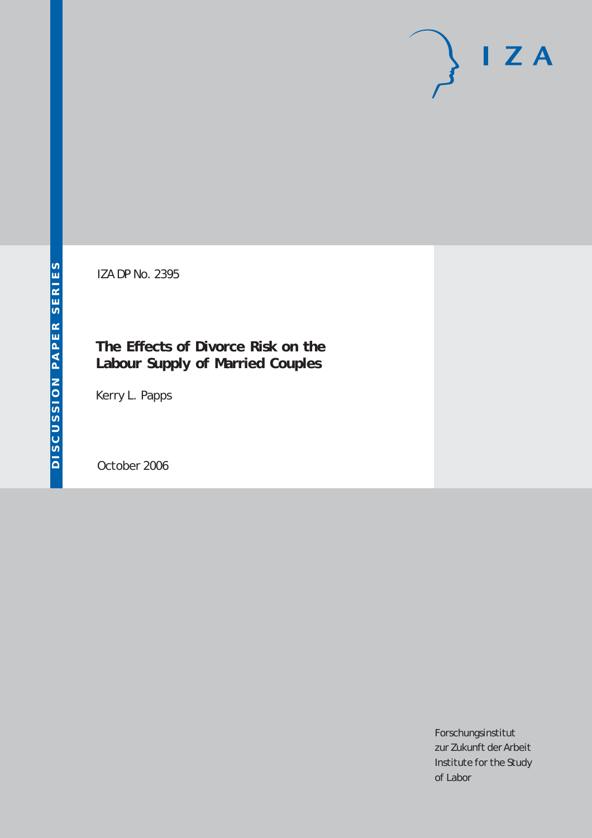# $I Z A$

IZA DP No. 2395

## **The Effects of Divorce Risk on the Labour Supply of Married Couples**

Kerry L. Papps

October 2006

Forschungsinstitut zur Zukunft der Arbeit Institute for the Study of Labor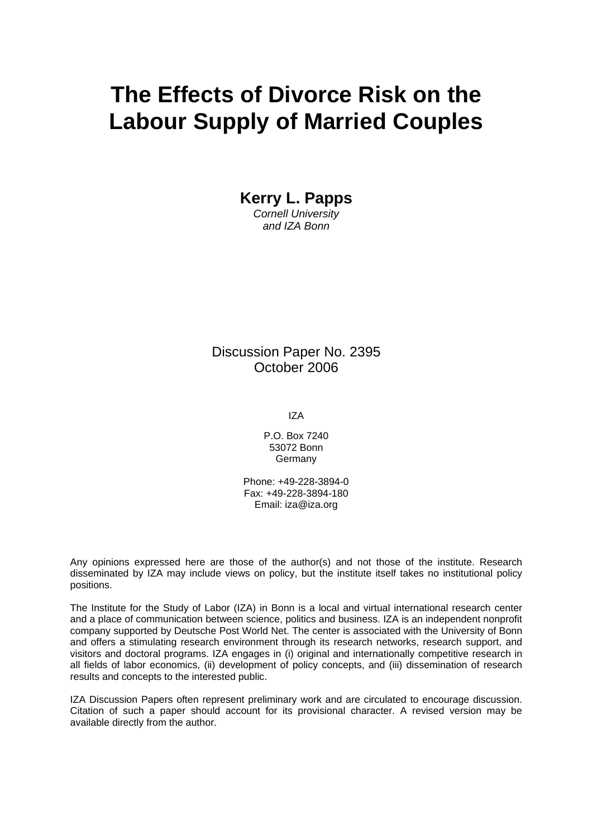## **The Effects of Divorce Risk on the Labour Supply of Married Couples**

**Kerry L. Papps**  *Cornell University and IZA Bonn* 

Discussion Paper No. 2395 October 2006

IZA

P.O. Box 7240 53072 Bonn **Germany** 

Phone: +49-228-3894-0 Fax: +49-228-3894-180 Email: [iza@iza.org](mailto:iza@iza.org)

Any opinions expressed here are those of the author(s) and not those of the institute. Research disseminated by IZA may include views on policy, but the institute itself takes no institutional policy positions.

The Institute for the Study of Labor (IZA) in Bonn is a local and virtual international research center and a place of communication between science, politics and business. IZA is an independent nonprofit company supported by Deutsche Post World Net. The center is associated with the University of Bonn and offers a stimulating research environment through its research networks, research support, and visitors and doctoral programs. IZA engages in (i) original and internationally competitive research in all fields of labor economics, (ii) development of policy concepts, and (iii) dissemination of research results and concepts to the interested public.

IZA Discussion Papers often represent preliminary work and are circulated to encourage discussion. Citation of such a paper should account for its provisional character. A revised version may be available directly from the author.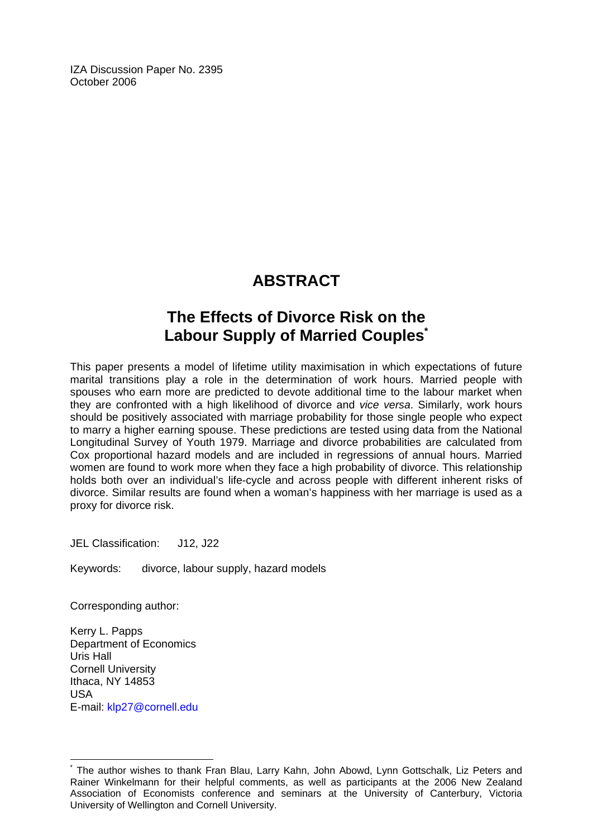IZA Discussion Paper No. 2395 October 2006

## **ABSTRACT**

## **The Effects of Divorce Risk on the Labour Supply of Married Couples[\\*](#page-2-0)**

This paper presents a model of lifetime utility maximisation in which expectations of future marital transitions play a role in the determination of work hours. Married people with spouses who earn more are predicted to devote additional time to the labour market when they are confronted with a high likelihood of divorce and *vice versa*. Similarly, work hours should be positively associated with marriage probability for those single people who expect to marry a higher earning spouse. These predictions are tested using data from the National Longitudinal Survey of Youth 1979. Marriage and divorce probabilities are calculated from Cox proportional hazard models and are included in regressions of annual hours. Married women are found to work more when they face a high probability of divorce. This relationship holds both over an individual's life-cycle and across people with different inherent risks of divorce. Similar results are found when a woman's happiness with her marriage is used as a proxy for divorce risk.

JEL Classification: J12, J22

Keywords: divorce, labour supply, hazard models

Corresponding author:

Kerry L. Papps Department of Economics Uris Hall Cornell University Ithaca, NY 14853 USA E-mail: [klp27@cornell.edu](mailto:klp27@cornell.edu)

 $\overline{a}$ 

<span id="page-2-0"></span><sup>\*</sup> The author wishes to thank Fran Blau, Larry Kahn, John Abowd, Lynn Gottschalk, Liz Peters and Rainer Winkelmann for their helpful comments, as well as participants at the 2006 New Zealand Association of Economists conference and seminars at the University of Canterbury, Victoria University of Wellington and Cornell University.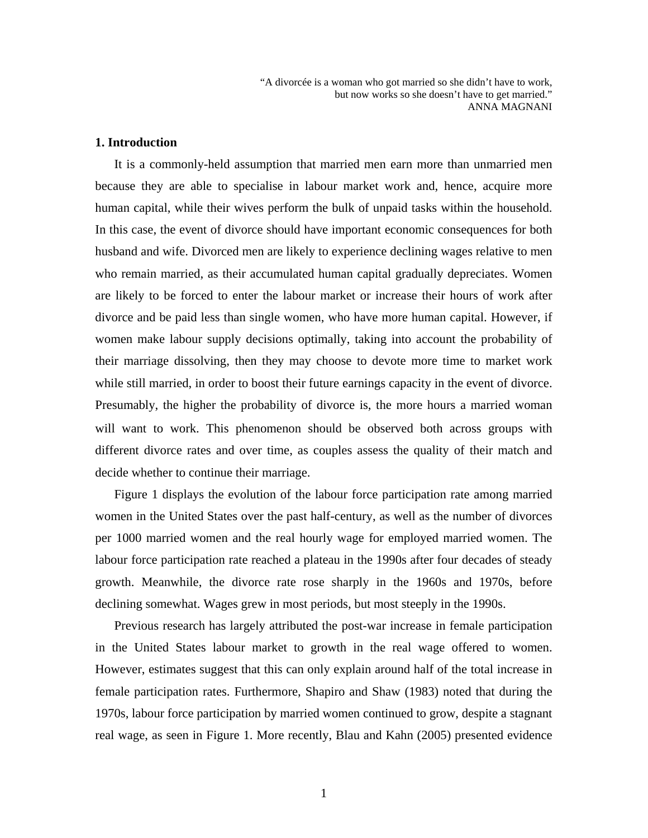#### **1. Introduction**

It is a commonly-held assumption that married men earn more than unmarried men because they are able to specialise in labour market work and, hence, acquire more human capital, while their wives perform the bulk of unpaid tasks within the household. In this case, the event of divorce should have important economic consequences for both husband and wife. Divorced men are likely to experience declining wages relative to men who remain married, as their accumulated human capital gradually depreciates. Women are likely to be forced to enter the labour market or increase their hours of work after divorce and be paid less than single women, who have more human capital. However, if women make labour supply decisions optimally, taking into account the probability of their marriage dissolving, then they may choose to devote more time to market work while still married, in order to boost their future earnings capacity in the event of divorce. Presumably, the higher the probability of divorce is, the more hours a married woman will want to work. This phenomenon should be observed both across groups with different divorce rates and over time, as couples assess the quality of their match and decide whether to continue their marriage.

Figure 1 displays the evolution of the labour force participation rate among married women in the United States over the past half-century, as well as the number of divorces per 1000 married women and the real hourly wage for employed married women. The labour force participation rate reached a plateau in the 1990s after four decades of steady growth. Meanwhile, the divorce rate rose sharply in the 1960s and 1970s, before declining somewhat. Wages grew in most periods, but most steeply in the 1990s.

Previous research has largely attributed the post-war increase in female participation in the United States labour market to growth in the real wage offered to women. However, estimates suggest that this can only explain around half of the total increase in female participation rates. Furthermore, Shapiro and Shaw (1983) noted that during the 1970s, labour force participation by married women continued to grow, despite a stagnant real wage, as seen in Figure 1. More recently, Blau and Kahn (2005) presented evidence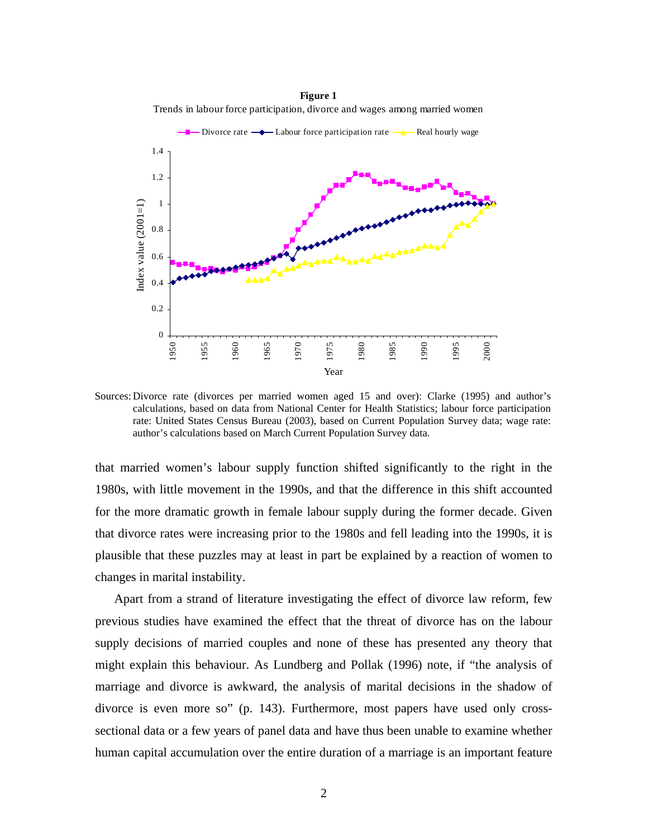

**Figure 1** Trends in labour force participation, divorce and wages among married women

Sources: Divorce rate (divorces per married women aged 15 and over): Clarke (1995) and author's calculations, based on data from National Center for Health Statistics; labour force participation rate: United States Census Bureau (2003), based on Current Population Survey data; wage rate: author's calculations based on March Current Population Survey data.

that married women's labour supply function shifted significantly to the right in the 1980s, with little movement in the 1990s, and that the difference in this shift accounted for the more dramatic growth in female labour supply during the former decade. Given that divorce rates were increasing prior to the 1980s and fell leading into the 1990s, it is plausible that these puzzles may at least in part be explained by a reaction of women to changes in marital instability.

Apart from a strand of literature investigating the effect of divorce law reform, few previous studies have examined the effect that the threat of divorce has on the labour supply decisions of married couples and none of these has presented any theory that might explain this behaviour. As Lundberg and Pollak (1996) note, if "the analysis of marriage and divorce is awkward, the analysis of marital decisions in the shadow of divorce is even more so" (p. 143). Furthermore, most papers have used only crosssectional data or a few years of panel data and have thus been unable to examine whether human capital accumulation over the entire duration of a marriage is an important feature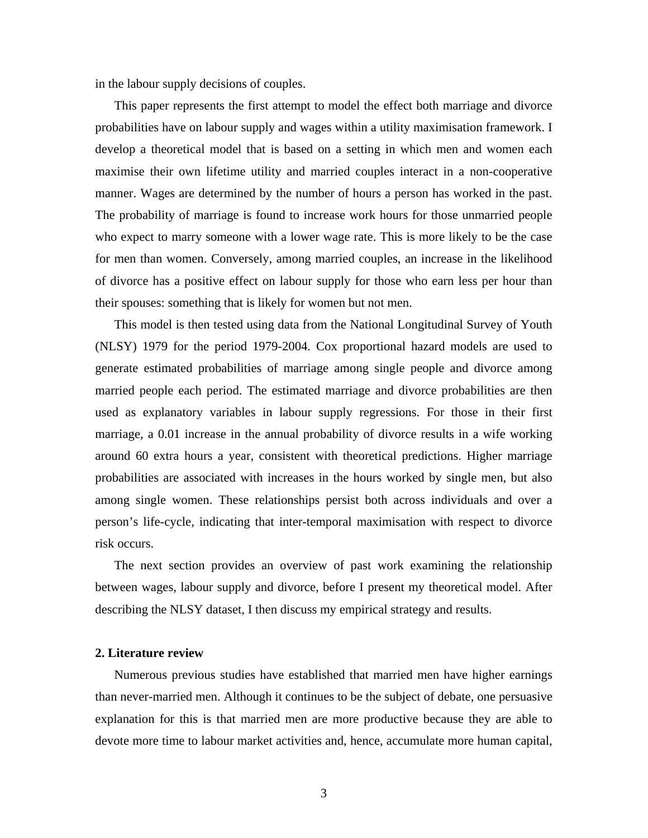in the labour supply decisions of couples.

This paper represents the first attempt to model the effect both marriage and divorce probabilities have on labour supply and wages within a utility maximisation framework. I develop a theoretical model that is based on a setting in which men and women each maximise their own lifetime utility and married couples interact in a non-cooperative manner. Wages are determined by the number of hours a person has worked in the past. The probability of marriage is found to increase work hours for those unmarried people who expect to marry someone with a lower wage rate. This is more likely to be the case for men than women. Conversely, among married couples, an increase in the likelihood of divorce has a positive effect on labour supply for those who earn less per hour than their spouses: something that is likely for women but not men.

This model is then tested using data from the National Longitudinal Survey of Youth (NLSY) 1979 for the period 1979-2004. Cox proportional hazard models are used to generate estimated probabilities of marriage among single people and divorce among married people each period. The estimated marriage and divorce probabilities are then used as explanatory variables in labour supply regressions. For those in their first marriage, a 0.01 increase in the annual probability of divorce results in a wife working around 60 extra hours a year, consistent with theoretical predictions. Higher marriage probabilities are associated with increases in the hours worked by single men, but also among single women. These relationships persist both across individuals and over a person's life-cycle, indicating that inter-temporal maximisation with respect to divorce risk occurs.

The next section provides an overview of past work examining the relationship between wages, labour supply and divorce, before I present my theoretical model. After describing the NLSY dataset, I then discuss my empirical strategy and results.

#### **2. Literature review**

Numerous previous studies have established that married men have higher earnings than never-married men. Although it continues to be the subject of debate, one persuasive explanation for this is that married men are more productive because they are able to devote more time to labour market activities and, hence, accumulate more human capital,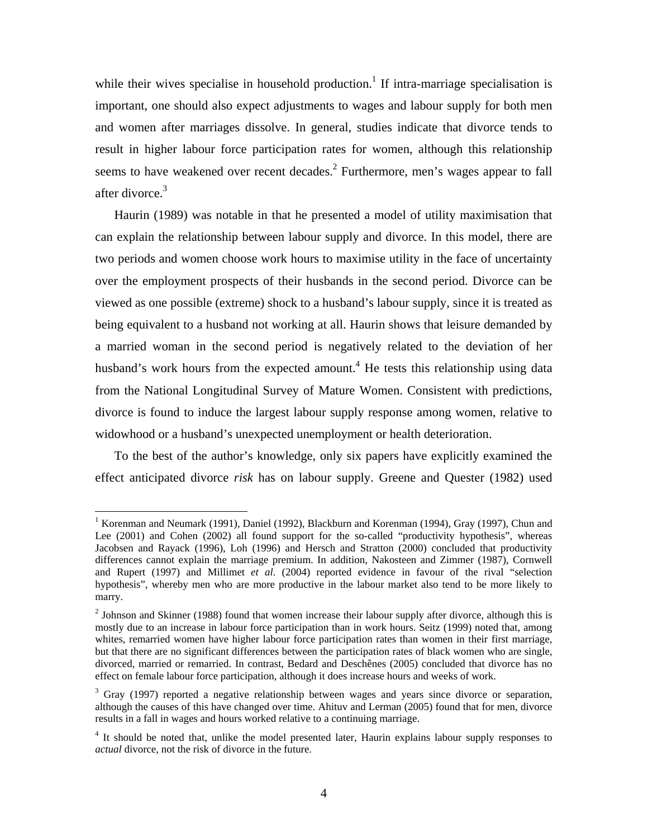while their wives specialise in household production.<sup>[1](#page-6-0)</sup> If intra-marriage specialisation is important, one should also expect adjustments to wages and labour supply for both men and women after marriages dissolve. In general, studies indicate that divorce tends to result in higher labour force participation rates for women, although this relationship seems to have weakened over recent decades.<sup>[2](#page-6-1)</sup> Furthermore, men's wages appear to fall after divorce.<sup>[3](#page-6-2)</sup>

Haurin (1989) was notable in that he presented a model of utility maximisation that can explain the relationship between labour supply and divorce. In this model, there are two periods and women choose work hours to maximise utility in the face of uncertainty over the employment prospects of their husbands in the second period. Divorce can be viewed as one possible (extreme) shock to a husband's labour supply, since it is treated as being equivalent to a husband not working at all. Haurin shows that leisure demanded by a married woman in the second period is negatively related to the deviation of her husband's work hours from the expected amount.<sup>4</sup> He tests this relationship using data from the National Longitudinal Survey of Mature Women. Consistent with predictions, divorce is found to induce the largest labour supply response among women, relative to widowhood or a husband's unexpected unemployment or health deterioration.

To the best of the author's knowledge, only six papers have explicitly examined the effect anticipated divorce *risk* has on labour supply. Greene and Quester (1982) used

1

<span id="page-6-0"></span><sup>&</sup>lt;sup>1</sup> Korenman and Neumark (1991), Daniel (1992), Blackburn and Korenman (1994), Gray (1997), Chun and Lee (2001) and Cohen (2002) all found support for the so-called "productivity hypothesis", whereas Jacobsen and Rayack (1996), Loh (1996) and Hersch and Stratton (2000) concluded that productivity differences cannot explain the marriage premium. In addition, Nakosteen and Zimmer (1987), Cornwell and Rupert (1997) and Millimet *et al*. (2004) reported evidence in favour of the rival "selection hypothesis", whereby men who are more productive in the labour market also tend to be more likely to marry.

<span id="page-6-1"></span> $2$  Johnson and Skinner (1988) found that women increase their labour supply after divorce, although this is mostly due to an increase in labour force participation than in work hours. Seitz (1999) noted that, among whites, remarried women have higher labour force participation rates than women in their first marriage, but that there are no significant differences between the participation rates of black women who are single, divorced, married or remarried. In contrast, Bedard and Deschênes (2005) concluded that divorce has no effect on female labour force participation, although it does increase hours and weeks of work.

<span id="page-6-2"></span> $3$  Gray (1997) reported a negative relationship between wages and years since divorce or separation, although the causes of this have changed over time. Ahituv and Lerman (2005) found that for men, divorce results in a fall in wages and hours worked relative to a continuing marriage.

<span id="page-6-3"></span><sup>&</sup>lt;sup>4</sup> It should be noted that, unlike the model presented later, Haurin explains labour supply responses to *actual* divorce, not the risk of divorce in the future.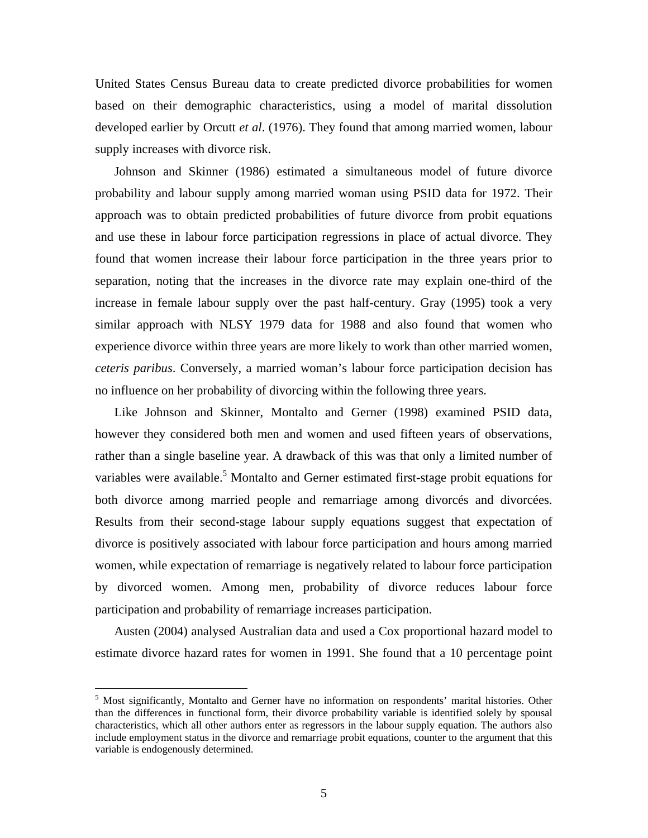United States Census Bureau data to create predicted divorce probabilities for women based on their demographic characteristics, using a model of marital dissolution developed earlier by Orcutt *et al*. (1976). They found that among married women, labour supply increases with divorce risk.

Johnson and Skinner (1986) estimated a simultaneous model of future divorce probability and labour supply among married woman using PSID data for 1972. Their approach was to obtain predicted probabilities of future divorce from probit equations and use these in labour force participation regressions in place of actual divorce. They found that women increase their labour force participation in the three years prior to separation, noting that the increases in the divorce rate may explain one-third of the increase in female labour supply over the past half-century. Gray (1995) took a very similar approach with NLSY 1979 data for 1988 and also found that women who experience divorce within three years are more likely to work than other married women, *ceteris paribus*. Conversely, a married woman's labour force participation decision has no influence on her probability of divorcing within the following three years.

Like Johnson and Skinner, Montalto and Gerner (1998) examined PSID data, however they considered both men and women and used fifteen years of observations, rather than a single baseline year. A drawback of this was that only a limited number of variables were available.<sup>[5](#page-7-0)</sup> Montalto and Gerner estimated first-stage probit equations for both divorce among married people and remarriage among divorcés and divorcées. Results from their second-stage labour supply equations suggest that expectation of divorce is positively associated with labour force participation and hours among married women, while expectation of remarriage is negatively related to labour force participation by divorced women. Among men, probability of divorce reduces labour force participation and probability of remarriage increases participation.

Austen (2004) analysed Australian data and used a Cox proportional hazard model to estimate divorce hazard rates for women in 1991. She found that a 10 percentage point

 $\overline{a}$ 

<span id="page-7-0"></span><sup>&</sup>lt;sup>5</sup> Most significantly, Montalto and Gerner have no information on respondents' marital histories. Other than the differences in functional form, their divorce probability variable is identified solely by spousal characteristics, which all other authors enter as regressors in the labour supply equation. The authors also include employment status in the divorce and remarriage probit equations, counter to the argument that this variable is endogenously determined.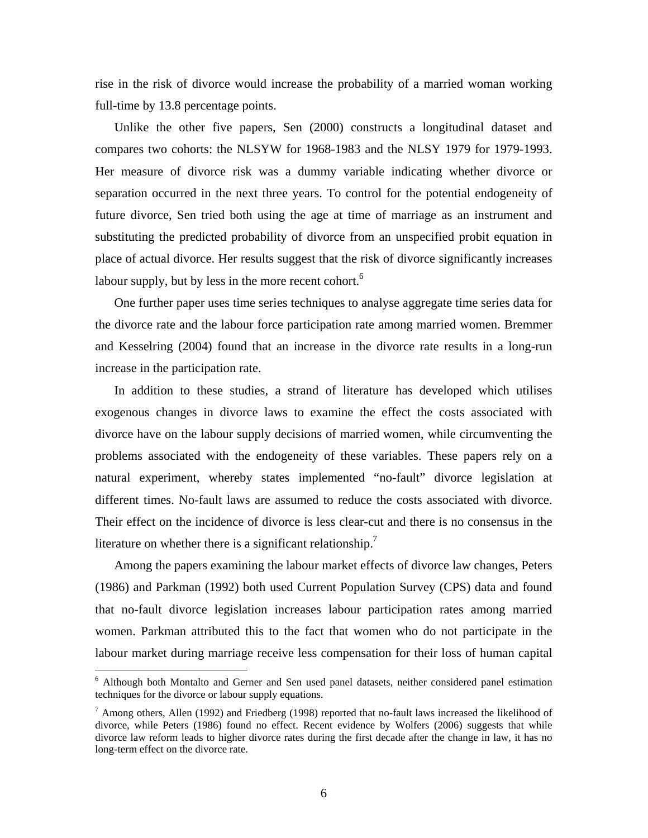rise in the risk of divorce would increase the probability of a married woman working full-time by 13.8 percentage points.

Unlike the other five papers, Sen (2000) constructs a longitudinal dataset and compares two cohorts: the NLSYW for 1968-1983 and the NLSY 1979 for 1979-1993. Her measure of divorce risk was a dummy variable indicating whether divorce or separation occurred in the next three years. To control for the potential endogeneity of future divorce, Sen tried both using the age at time of marriage as an instrument and substituting the predicted probability of divorce from an unspecified probit equation in place of actual divorce. Her results suggest that the risk of divorce significantly increases labour supply, but by less in the more recent cohort.<sup>[6](#page-8-0)</sup>

One further paper uses time series techniques to analyse aggregate time series data for the divorce rate and the labour force participation rate among married women. Bremmer and Kesselring (2004) found that an increase in the divorce rate results in a long-run increase in the participation rate.

In addition to these studies, a strand of literature has developed which utilises exogenous changes in divorce laws to examine the effect the costs associated with divorce have on the labour supply decisions of married women, while circumventing the problems associated with the endogeneity of these variables. These papers rely on a natural experiment, whereby states implemented "no-fault" divorce legislation at different times. No-fault laws are assumed to reduce the costs associated with divorce. Their effect on the incidence of divorce is less clear-cut and there is no consensus in the literature on whether there is a significant relationship.<sup>[7](#page-8-1)</sup>

Among the papers examining the labour market effects of divorce law changes, Peters (1986) and Parkman (1992) both used Current Population Survey (CPS) data and found that no-fault divorce legislation increases labour participation rates among married women. Parkman attributed this to the fact that women who do not participate in the labour market during marriage receive less compensation for their loss of human capital

 $\overline{a}$ 

<span id="page-8-0"></span><sup>&</sup>lt;sup>6</sup> Although both Montalto and Gerner and Sen used panel datasets, neither considered panel estimation techniques for the divorce or labour supply equations.

<span id="page-8-1"></span><sup>&</sup>lt;sup>7</sup> Among others, Allen (1992) and Friedberg (1998) reported that no-fault laws increased the likelihood of divorce, while Peters (1986) found no effect. Recent evidence by Wolfers (2006) suggests that while divorce law reform leads to higher divorce rates during the first decade after the change in law, it has no long-term effect on the divorce rate.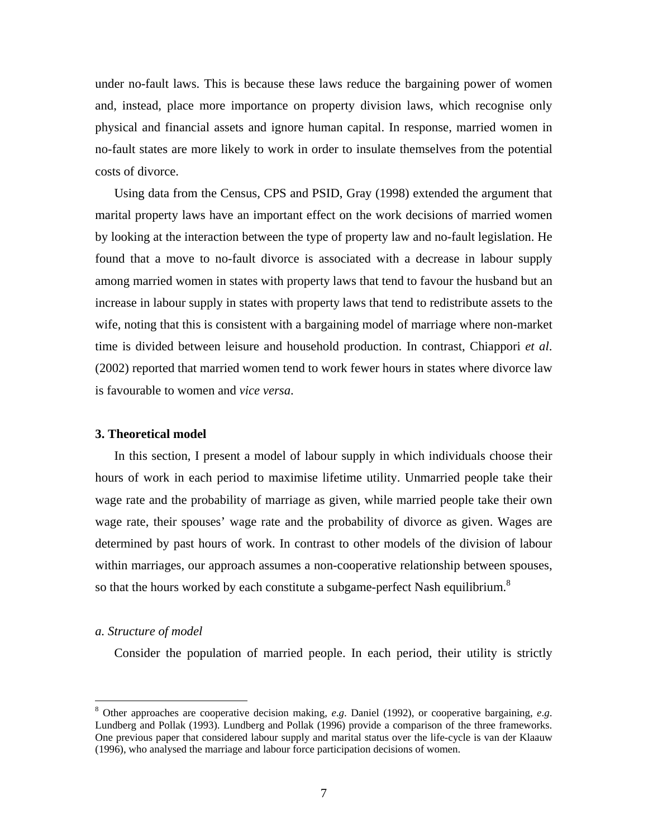under no-fault laws. This is because these laws reduce the bargaining power of women and, instead, place more importance on property division laws, which recognise only physical and financial assets and ignore human capital. In response, married women in no-fault states are more likely to work in order to insulate themselves from the potential costs of divorce.

Using data from the Census, CPS and PSID, Gray (1998) extended the argument that marital property laws have an important effect on the work decisions of married women by looking at the interaction between the type of property law and no-fault legislation. He found that a move to no-fault divorce is associated with a decrease in labour supply among married women in states with property laws that tend to favour the husband but an increase in labour supply in states with property laws that tend to redistribute assets to the wife, noting that this is consistent with a bargaining model of marriage where non-market time is divided between leisure and household production. In contrast, Chiappori *et al*. (2002) reported that married women tend to work fewer hours in states where divorce law is favourable to women and *vice versa*.

#### **3. Theoretical model**

In this section, I present a model of labour supply in which individuals choose their hours of work in each period to maximise lifetime utility. Unmarried people take their wage rate and the probability of marriage as given, while married people take their own wage rate, their spouses' wage rate and the probability of divorce as given. Wages are determined by past hours of work. In contrast to other models of the division of labour within marriages, our approach assumes a non-cooperative relationship between spouses, so that the hours worked by each constitute a subgame-perfect Nash equilibrium.<sup>[8](#page-9-0)</sup>

#### *a. Structure of model*

 $\overline{a}$ 

Consider the population of married people. In each period, their utility is strictly

<span id="page-9-0"></span><sup>8</sup> Other approaches are cooperative decision making, *e*.*g*. Daniel (1992), or cooperative bargaining, *e*.*g*. Lundberg and Pollak (1993). Lundberg and Pollak (1996) provide a comparison of the three frameworks. One previous paper that considered labour supply and marital status over the life-cycle is van der Klaauw (1996), who analysed the marriage and labour force participation decisions of women.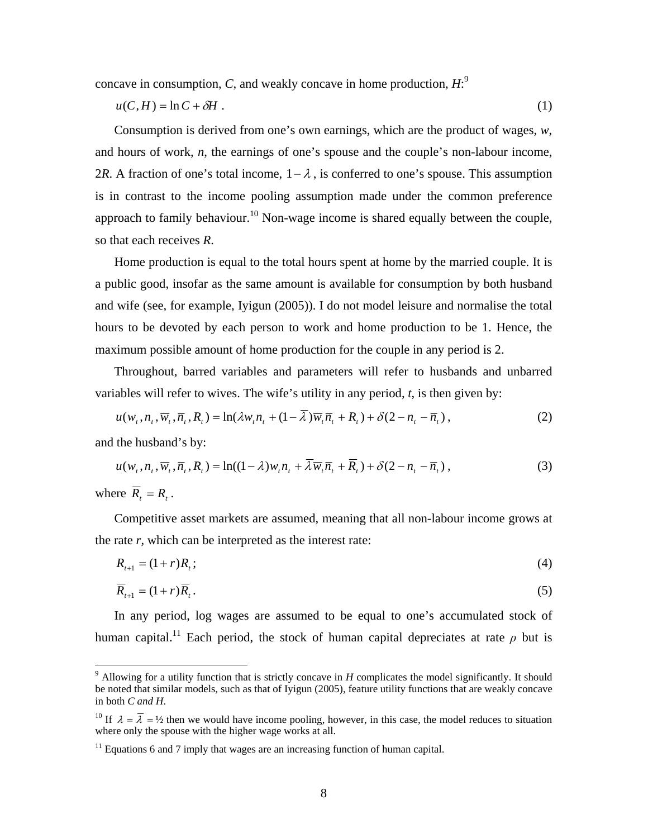concave in consumption, *C*, and weakly concave in home production, *H*: [9](#page-10-0)

$$
u(C, H) = \ln C + \delta H \tag{1}
$$

Consumption is derived from one's own earnings, which are the product of wages, *w*, and hours of work, *n*, the earnings of one's spouse and the couple's non-labour income, 2*R*. A fraction of one's total income,  $1 - \lambda$ , is conferred to one's spouse. This assumption is in contrast to the income pooling assumption made under the common preference approach to family behaviour.<sup>10</sup> Non-wage income is shared equally between the couple, so that each receives *R*.

Home production is equal to the total hours spent at home by the married couple. It is a public good, insofar as the same amount is available for consumption by both husband and wife (see, for example, Iyigun (2005)). I do not model leisure and normalise the total hours to be devoted by each person to work and home production to be 1. Hence, the maximum possible amount of home production for the couple in any period is 2.

Throughout, barred variables and parameters will refer to husbands and unbarred variables will refer to wives. The wife's utility in any period, *t*, is then given by:

$$
u(w_t, n_t, \overline{w}_t, \overline{n}_t, R_t) = \ln(\lambda w_t n_t + (1 - \lambda) \overline{w}_t \overline{n}_t + R_t) + \delta(2 - n_t - \overline{n}_t),
$$
\n(2)

and the husband's by:

$$
u(w_t, n_t, \overline{w}_t, \overline{n}_t, R_t) = \ln((1 - \lambda)w_t n_t + \overline{\lambda} \overline{w}_t \overline{n}_t + \overline{R}_t) + \delta(2 - n_t - \overline{n}_t),
$$
\n(3)

where  $R_t = R_t$ .

1

Competitive asset markets are assumed, meaning that all non-labour income grows at the rate *r*, which can be interpreted as the interest rate:

$$
R_{t+1} = (1+r)R_t; \t\t(4)
$$

$$
\overline{R}_{t+1} = (1+r)\overline{R}_t. \tag{5}
$$

In any period, log wages are assumed to be equal to one's accumulated stock of human capital.<sup>11</sup> Each period, the stock of human capital depreciates at rate  $\rho$  but is

<span id="page-10-0"></span> $9$  Allowing for a utility function that is strictly concave in *H* complicates the model significantly. It should be noted that similar models, such as that of Iyigun (2005), feature utility functions that are weakly concave in both *C and H*.

<span id="page-10-1"></span><sup>&</sup>lt;sup>10</sup> If  $\lambda = \overline{\lambda} = \frac{1}{2}$  then we would have income pooling, however, in this case, the model reduces to situation where only the spouse with the higher wage works at all.

<span id="page-10-2"></span> $11$  Equations 6 and 7 imply that wages are an increasing function of human capital.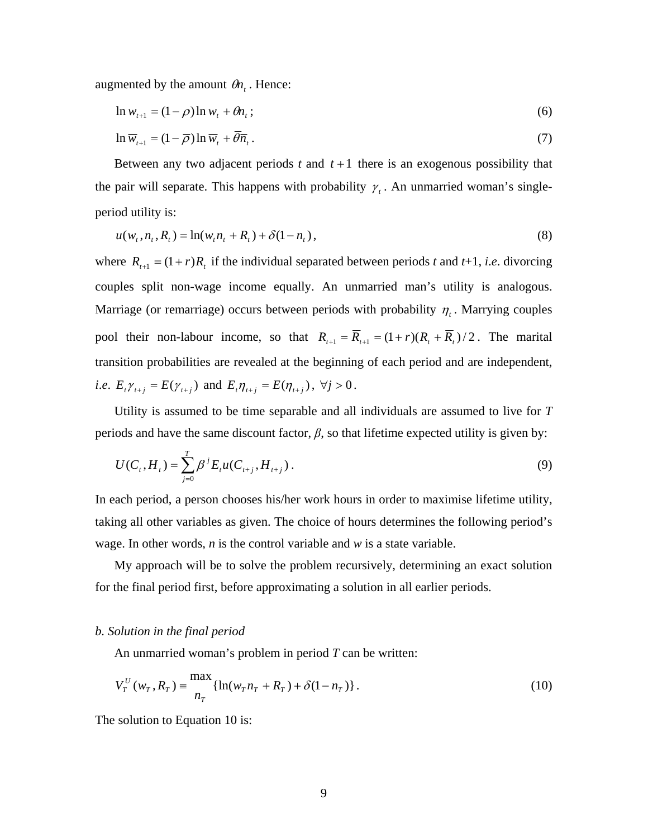augmented by the amount  $\theta n_t$ . Hence:

$$
\ln w_{t+1} = (1 - \rho) \ln w_t + \theta n_t; \qquad (6)
$$

$$
\ln \overline{w}_{t+1} = (1 - \overline{\rho}) \ln \overline{w}_t + \overline{\theta} \overline{n}_t. \tag{7}
$$

Between any two adjacent periods  $t$  and  $t+1$  there is an exogenous possibility that the pair will separate. This happens with probability  $\gamma_t$ . An unmarried woman's singleperiod utility is:

$$
u(w_t, n_t, R_t) = \ln(w_t n_t + R_t) + \delta(1 - n_t),
$$
\n(8)

where  $R_{t+1} = (1+r)R_t$  if the individual separated between periods *t* and *t*+1, *i.e.* divorcing couples split non-wage income equally. An unmarried man's utility is analogous. Marriage (or remarriage) occurs between periods with probability  $\eta_t$ . Marrying couples pool their non-labour income, so that  $R_{t+1} = \overline{R}_{t+1} = (1+r)(R_t + \overline{R}_t)/2$ . The marital transition probabilities are revealed at the beginning of each period and are independent, *i.e.*  $E_t \gamma_{t+j} = E(\gamma_{t+j})$  and  $E_t \eta_{t+j} = E(\eta_{t+j}), \forall j > 0$ .

Utility is assumed to be time separable and all individuals are assumed to live for *T* periods and have the same discount factor,  $\beta$ , so that lifetime expected utility is given by:

$$
U(C_t, H_t) = \sum_{j=0}^{T} \beta^j E_t u(C_{t+j}, H_{t+j}).
$$
\n(9)

In each period, a person chooses his/her work hours in order to maximise lifetime utility, taking all other variables as given. The choice of hours determines the following period's wage. In other words, *n* is the control variable and *w* is a state variable.

My approach will be to solve the problem recursively, determining an exact solution for the final period first, before approximating a solution in all earlier periods.

#### *b. Solution in the final period*

An unmarried woman's problem in period *T* can be written:

$$
V_T^U(w_T, R_T) = \frac{\max}{n_T} \{ \ln(w_T n_T + R_T) + \delta(1 - n_T) \}.
$$
 (10)

The solution to Equation 10 is: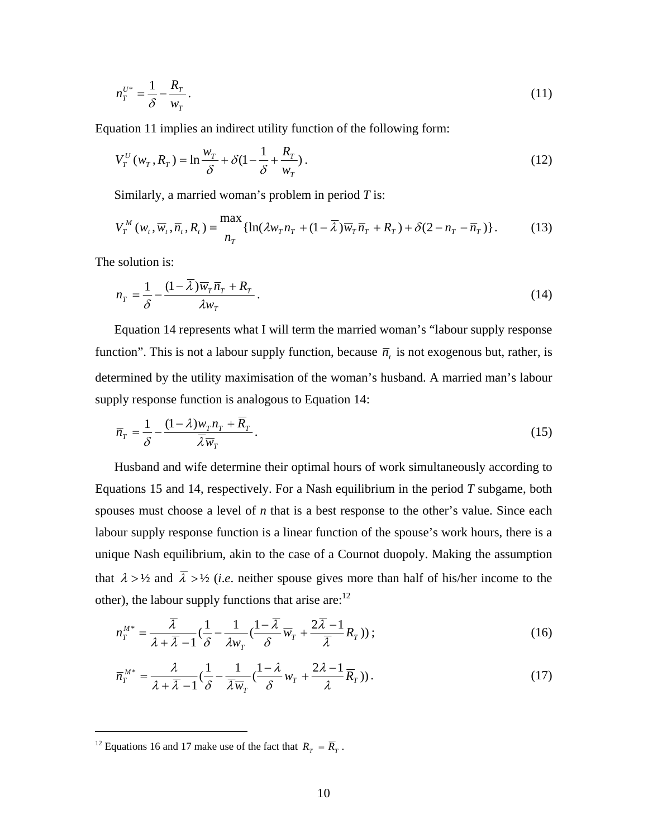$$
n_T^{U^*} = \frac{1}{\delta} - \frac{R_T}{w_T}.
$$
\n(11)

Equation 11 implies an indirect utility function of the following form:

$$
V_T^U(w_T, R_T) = \ln \frac{w_T}{\delta} + \delta \left( 1 - \frac{1}{\delta} + \frac{R_T}{w_T} \right). \tag{12}
$$

Similarly, a married woman's problem in period *T* is:

$$
V_T^M(w_t, \overline{w}_t, \overline{n}_t, R_t) \equiv \frac{\max}{n_T} \{ \ln(\lambda w_T n_T + (1 - \overline{\lambda}) \overline{w}_T \overline{n}_T + R_T) + \delta(2 - n_T - \overline{n}_T) \}. \tag{13}
$$

The solution is:

$$
n_T = \frac{1}{\delta} - \frac{(1 - \overline{\lambda})\overline{w}_T \overline{n}_T + R_T}{\lambda w_T} \,. \tag{14}
$$

Equation 14 represents what I will term the married woman's "labour supply response function". This is not a labour supply function, because  $\bar{n}_t$  is not exogenous but, rather, is determined by the utility maximisation of the woman's husband. A married man's labour supply response function is analogous to Equation 14:

$$
\overline{n}_T = \frac{1}{\delta} - \frac{(1-\lambda)w_T n_T + \overline{R}_T}{\overline{\lambda}\overline{w}_T}.
$$
\n(15)

Husband and wife determine their optimal hours of work simultaneously according to Equations 15 and 14, respectively. For a Nash equilibrium in the period *T* subgame, both spouses must choose a level of *n* that is a best response to the other's value. Since each labour supply response function is a linear function of the spouse's work hours, there is a unique Nash equilibrium, akin to the case of a Cournot duopoly. Making the assumption that  $\lambda > \frac{1}{2}$  and  $\overline{\lambda} > \frac{1}{2}$  (*i.e.* neither spouse gives more than half of his/her income to the other), the labour supply functions that arise are: $12$ 

$$
n_T^{M^*} = \frac{\overline{\lambda}}{\lambda + \overline{\lambda} - 1} \left( \frac{1}{\delta} - \frac{1}{\lambda w_T} \left( \frac{1 - \overline{\lambda}}{\delta} \overline{w}_T + \frac{2\overline{\lambda} - 1}{\overline{\lambda}} R_T \right) \right);
$$
(16)

$$
\overline{n}_T^{M^*} = \frac{\lambda}{\lambda + \overline{\lambda} - 1} \left( \frac{1}{\delta} - \frac{1}{\overline{\lambda} \overline{w}_T} \left( \frac{1 - \lambda}{\delta} w_T + \frac{2\lambda - 1}{\lambda} \overline{R}_T \right) \right). \tag{17}
$$

 $\overline{a}$ 

<span id="page-12-0"></span><sup>&</sup>lt;sup>12</sup> Equations 16 and 17 make use of the fact that  $R_T = \overline{R}_T$ .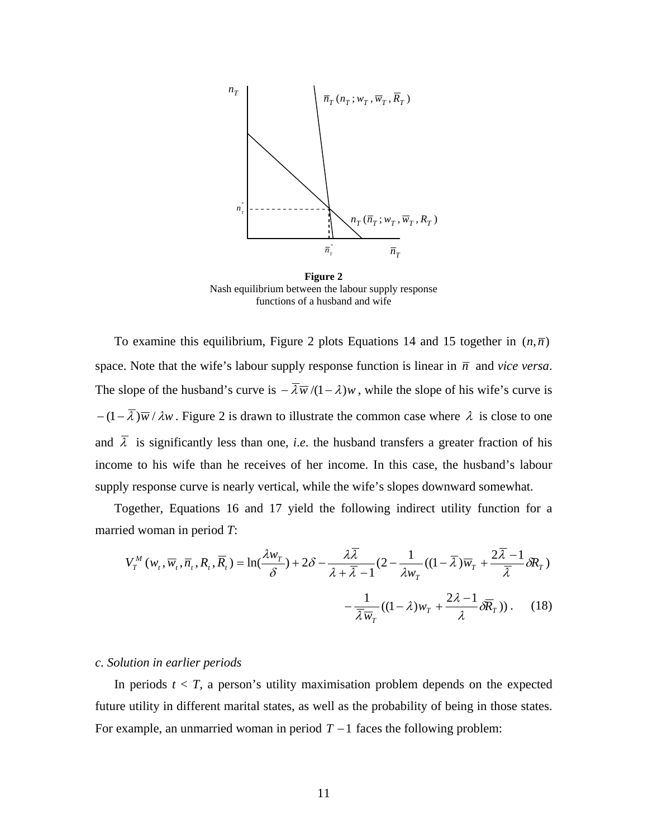

**Figure 2**  Nash equilibrium between the labour supply response functions of a husband and wife

To examine this equilibrium, Figure 2 plots Equations 14 and 15 together in  $(n,\bar{n})$ space. Note that the wife's labour supply response function is linear in  $\overline{n}$  and *vice versa*. The slope of the husband's curve is  $-\overline{\lambda}\overline{w}/(1-\lambda)w$ , while the slope of his wife's curve is  $-(1-\overline{\lambda})\overline{w}/\lambda w$ . Figure 2 is drawn to illustrate the common case where  $\lambda$  is close to one and  $\overline{\lambda}$  is significantly less than one, *i.e.* the husband transfers a greater fraction of his income to his wife than he receives of her income. In this case, the husband's labour supply response curve is nearly vertical, while the wife's slopes downward somewhat.

Together, Equations 16 and 17 yield the following indirect utility function for a married woman in period *T*:

$$
V_T^M(w_t, \overline{w}_t, \overline{n}_t, R_t, \overline{R}_t) = \ln(\frac{\lambda w_T}{\delta}) + 2\delta - \frac{\lambda \overline{\lambda}}{\lambda + \overline{\lambda} - 1} (2 - \frac{1}{\lambda w_T} ((1 - \overline{\lambda}) \overline{w}_T + \frac{2\overline{\lambda} - 1}{\overline{\lambda}} \delta R_T) - \frac{1}{\overline{\lambda} \overline{w}_T} ((1 - \lambda) w_T + \frac{2\lambda - 1}{\lambda} \delta \overline{R}_T)).
$$
 (18)

#### *c. Solution in earlier periods*

In periods  $t < T$ , a person's utility maximisation problem depends on the expected future utility in different marital states, as well as the probability of being in those states. For example, an unmarried woman in period  $T - 1$  faces the following problem: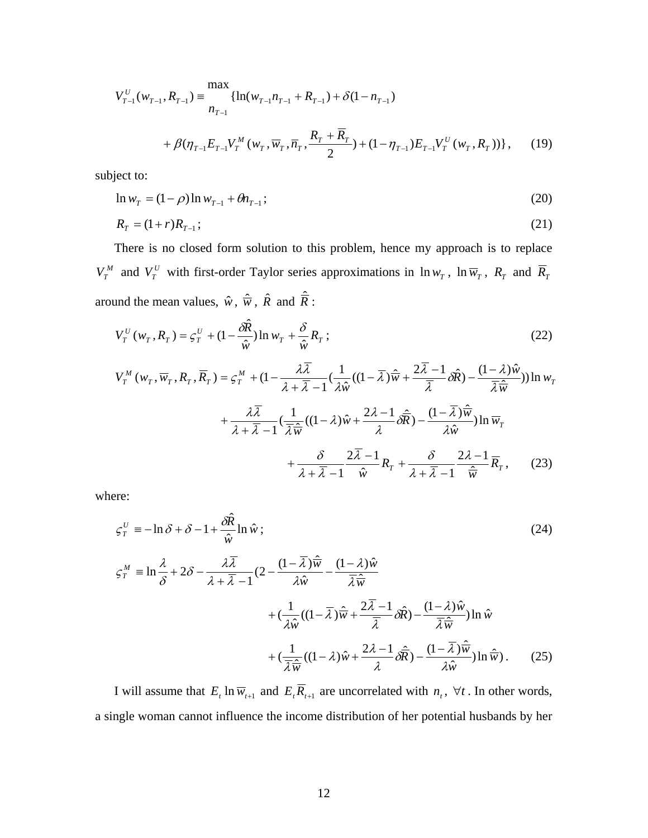$$
V_{T-1}^{U}(w_{T-1}, R_{T-1}) = \frac{\max_{n_{T-1}} \{ \ln(w_{T-1}n_{T-1} + R_{T-1}) + \delta(1 - n_{T-1})\}}{\sum_{i=1}^{T} \{ \ln(w_{T-1}n_{T-1} + R_{T-1}) + \delta(1 - n_{T-1})\}} \quad + \beta(\eta_{T-1}E_{T-1}V_{T}^{M}(w_{T}, \overline{w}_{T}, \overline{n}_{T}, \overline{n}_{T}, \frac{R_{T} + \overline{R}_{T}}{2}) + (1 - \eta_{T-1})E_{T-1}V_{T}^{U}(w_{T}, R_{T})) \}, \quad (19)
$$

subject to:

$$
\ln w_T = (1 - \rho) \ln w_{T-1} + \theta n_{T-1};
$$
\n(20)

$$
R_T = (1+r)R_{T-1};
$$
\n(21)

There is no closed form solution to this problem, hence my approach is to replace  $V_T^M$  and  $V_T^U$  with first-order Taylor series approximations in  $\ln w_T$ ,  $\ln \overline{w}_T$ ,  $R_T$  and  $\overline{R}_T$ around the mean values,  $\hat{w}$ ,  $\hat{\overline{w}}$ ,  $\hat{R}$  and  $\hat{\overline{R}}$ :

$$
V_T^U(w_T, R_T) = \zeta_T^U + (1 - \frac{\partial \hat{R}}{\hat{w}}) \ln w_T + \frac{\delta}{\hat{w}} R_T ;
$$
 (22)

$$
V_T^M(w_T, \overline{w}_T, R_T, \overline{R}_T) = \zeta_T^M + (1 - \frac{\lambda \overline{\lambda}}{\lambda + \overline{\lambda} - 1} (\frac{1}{\lambda \hat{w}} ((1 - \overline{\lambda}) \hat{\overline{w}} + \frac{2 \overline{\lambda} - 1}{\overline{\lambda}} \partial \hat{R}) - \frac{(1 - \lambda) \hat{w}}{\overline{\lambda} \hat{w}})) \ln w_T
$$
  
+ 
$$
\frac{\lambda \overline{\lambda}}{\lambda + \overline{\lambda} - 1} (\frac{1}{\overline{\lambda} \hat{w}} ((1 - \lambda) \hat{w} + \frac{2\lambda - 1}{\lambda} \partial \hat{\overline{R}}) - \frac{(1 - \overline{\lambda}) \hat{\overline{w}}}{\lambda \hat{w}}) \ln \overline{w}_T
$$
  
+ 
$$
\frac{\delta}{\lambda + \overline{\lambda} - 1} \frac{2 \overline{\lambda} - 1}{\hat{w}} R_T + \frac{\delta}{\lambda + \overline{\lambda} - 1} \frac{2\lambda - 1}{\hat{w}} \overline{R}_T, \qquad (23)
$$

where:

$$
\zeta_T^U = -\ln \delta + \delta - 1 + \frac{\delta \hat{R}}{\hat{w}} \ln \hat{w} ;
$$
\n
$$
\zeta_T^M = \ln \frac{\lambda}{\delta} + 2\delta - \frac{\lambda \overline{\lambda}}{\lambda + \overline{\lambda} - 1} (2 - \frac{(1 - \overline{\lambda})\hat{w}}{\lambda \hat{w}} - \frac{(1 - \lambda)\hat{w}}{\overline{\lambda}\hat{w}} \n+ (\frac{1}{\lambda \hat{w}}((1 - \overline{\lambda})\hat{w} + \frac{2\overline{\lambda} - 1}{\overline{\lambda}}\delta \hat{R}) - \frac{(1 - \lambda)\hat{w}}{\overline{\lambda}\hat{w}}) \ln \hat{w} \n+ (\frac{1}{\overline{\lambda}\hat{w}}((1 - \lambda)\hat{w} + \frac{2\lambda - 1}{\lambda}\delta \hat{R}) - \frac{(1 - \overline{\lambda})\hat{w}}{\lambda \hat{w}}) \ln \hat{w} .
$$
\n(25)

I will assume that  $E_t \ln \overline{w}_{t+1}$  and  $E_t \overline{R}_{t+1}$  are uncorrelated with  $n_t$ ,  $\forall t$ . In other words, a single woman cannot influence the income distribution of her potential husbands by her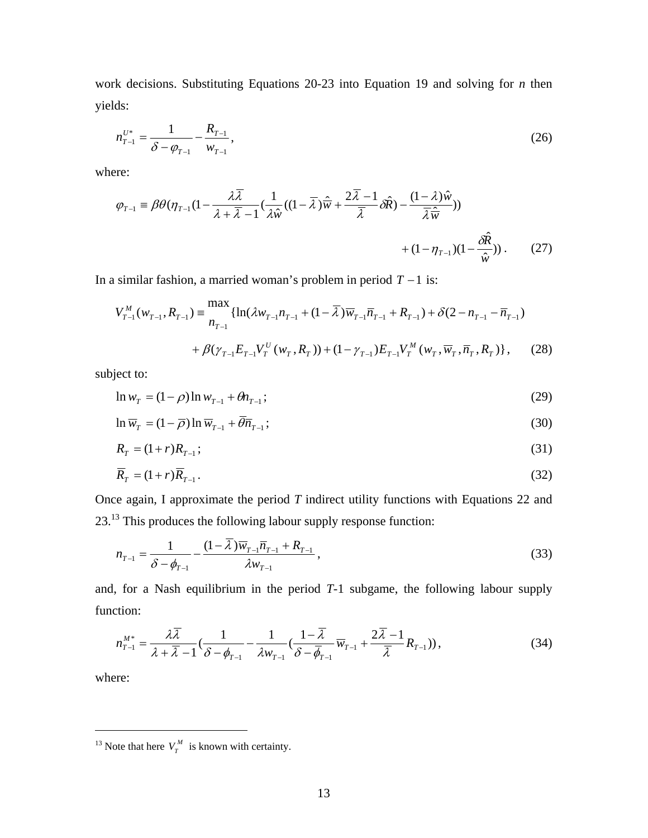work decisions. Substituting Equations 20-23 into Equation 19 and solving for *n* then yields:

$$
n_{T-1}^{U^*} = \frac{1}{\delta - \varphi_{T-1}} - \frac{R_{T-1}}{W_{T-1}},\tag{26}
$$

where:

$$
\varphi_{T-1} = \beta \theta (\eta_{T-1} (1 - \frac{\lambda \overline{\lambda}}{\lambda + \overline{\lambda} - 1} (\frac{1}{\lambda \hat{w}} ((1 - \overline{\lambda}) \hat{\overline{w}} + \frac{2 \overline{\lambda} - 1}{\overline{\lambda}} \partial \hat{R}) - \frac{(1 - \lambda) \hat{w}}{\overline{\lambda} \hat{\overline{w}}})) + (1 - \eta_{T-1}) (1 - \frac{\partial \hat{R}}{\hat{w}})).
$$
 (27)

In a similar fashion, a married woman's problem in period *T* −1 is:

$$
V_{T-1}^{M}(w_{T-1}, R_{T-1}) = \frac{\max_{n_{T-1}} \{ \ln(\lambda w_{T-1} n_{T-1} + (1 - \overline{\lambda}) \overline{w}_{T-1} \overline{n}_{T-1} + R_{T-1}) + \delta(2 - n_{T-1} - \overline{n}_{T-1}) + \beta(\gamma_{T-1} E_{T-1} V_{T}^{U}(w_{T}, R_{T})) + (1 - \gamma_{T-1}) E_{T-1} V_{T}^{M}(w_{T}, \overline{w}_{T}, \overline{n}_{T}, R_{T}) \}, \quad (28)
$$

subject to:

$$
\ln w_T = (1 - \rho) \ln w_{T-1} + \theta n_{T-1};
$$
\n(29)

$$
\ln \overline{w}_T = (1 - \overline{\rho}) \ln \overline{w}_{T-1} + \overline{\theta} \overline{n}_{T-1};
$$
\n(30)

$$
R_T = (1+r)R_{T-1};
$$
\n(31)

$$
\overline{R}_T = (1+r)\overline{R}_{T-1}.
$$
\n(32)

Once again, I approximate the period *T* indirect utility functions with Equations 22 and 23[.13](#page-15-0) This produces the following labour supply response function:

$$
n_{T-1} = \frac{1}{\delta - \phi_{T-1}} - \frac{(1 - \overline{\lambda})\overline{w}_{T-1}\overline{n}_{T-1} + R_{T-1}}{\lambda w_{T-1}},
$$
\n(33)

and, for a Nash equilibrium in the period *T*-1 subgame, the following labour supply function:

$$
n_{T-1}^{M^*} = \frac{\lambda \overline{\lambda}}{\lambda + \overline{\lambda} - 1} \left( \frac{1}{\delta - \phi_{T-1}} - \frac{1}{\lambda w_{T-1}} \left( \frac{1 - \overline{\lambda}}{\delta - \overline{\phi}_{T-1}} \overline{w}_{T-1} + \frac{2\overline{\lambda} - 1}{\overline{\lambda}} R_{T-1} \right) \right),\tag{34}
$$

where:

 $\overline{a}$ 

<span id="page-15-0"></span><sup>&</sup>lt;sup>13</sup> Note that here  $V_T^M$  is known with certainty.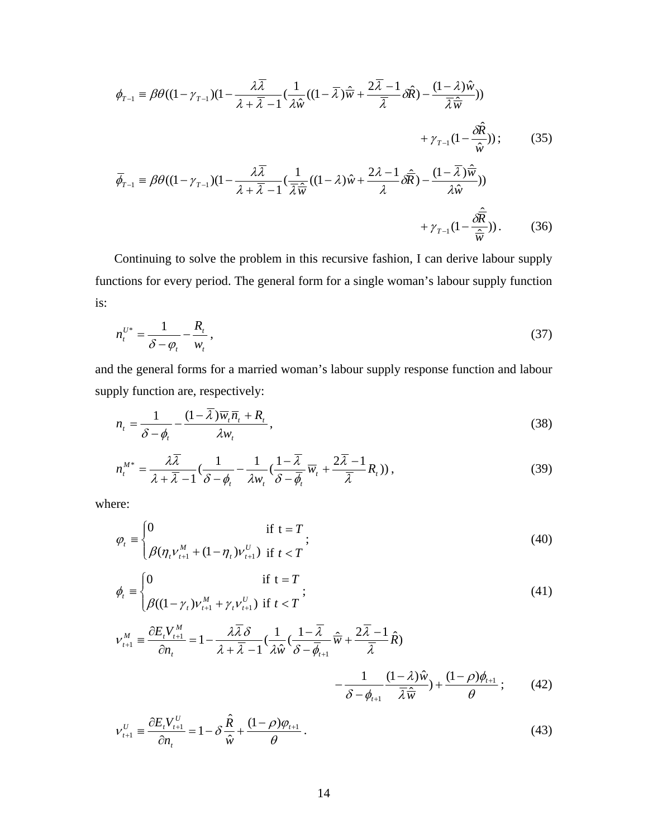$$
\phi_{T-1} = \beta \theta ((1 - \gamma_{T-1})(1 - \frac{\lambda \overline{\lambda}}{\lambda + \overline{\lambda} - 1} (\frac{1}{\lambda \hat{w}} ((1 - \overline{\lambda}) \hat{\overline{w}} + \frac{2\overline{\lambda} - 1}{\overline{\lambda}} \partial \hat{R}) - \frac{(1 - \lambda)\hat{w}}{\overline{\lambda} \hat{\overline{w}}}))
$$
  
+  $\gamma_{T-1} (1 - \frac{\partial \hat{R}}{\hat{w}}))$ ;  

$$
\overline{\phi}_{T-1} = \beta \theta ((1 - \gamma_{T-1})(1 - \frac{\lambda \overline{\lambda}}{\lambda + \overline{\lambda} - 1} (\frac{1}{\overline{\lambda} \hat{\overline{w}}}) ((1 - \lambda)\hat{w} + \frac{2\lambda - 1}{\lambda} \partial \hat{\overline{R}}) - \frac{(1 - \overline{\lambda}) \hat{\overline{w}}}{\lambda \hat{w}}))
$$
  
+  $\gamma_{T-1} (1 - \frac{\partial \hat{\overline{R}}}{\hat{\overline{w}}}))$ . (36)

Continuing to solve the problem in this recursive fashion, I can derive labour supply functions for every period. The general form for a single woman's labour supply function is:

$$
n_t^{U^*} = \frac{1}{\delta - \varphi_t} - \frac{R_t}{w_t},
$$
\n(37)

and the general forms for a married woman's labour supply response function and labour supply function are, respectively:

$$
n_{t} = \frac{1}{\delta - \phi_{t}} - \frac{(1 - \overline{\lambda})\overline{w}_{t}\overline{n}_{t} + R_{t}}{\lambda w_{t}},
$$
\n(38)

$$
n_t^{M^*} = \frac{\lambda \overline{\lambda}}{\lambda + \overline{\lambda} - 1} \left( \frac{1}{\delta - \phi_t} - \frac{1}{\lambda w_t} \left( \frac{1 - \overline{\lambda}}{\delta - \overline{\phi_t}} \overline{w_t} + \frac{2\overline{\lambda} - 1}{\overline{\lambda}} R_t \right) \right),\tag{39}
$$

where:

$$
\varphi_{t} = \begin{cases} 0 & \text{if } t = T \\ \beta(\eta_{t}v_{t+1}^{M} + (1 - \eta_{t})v_{t+1}^{U}) & \text{if } t < T \end{cases}
$$
 (40)

$$
\phi_{t} \equiv \begin{cases} 0 & \text{if } t = T \\ \beta((1 - \gamma_{t})\nu_{t+1}^{M} + \gamma_{t}\nu_{t+1}^{U}) & \text{if } t < T \end{cases}
$$
 (41)

$$
v_{t+1}^{M} = \frac{\partial E_{t} V_{t+1}^{M}}{\partial n_{t}} = 1 - \frac{\lambda \overline{\lambda} \delta}{\lambda + \overline{\lambda} - 1} \left( \frac{1}{\lambda \hat{w}} \left( \frac{1 - \overline{\lambda}}{\delta - \overline{\phi}_{t+1}} \hat{\overline{w}} + \frac{2\overline{\lambda} - 1}{\overline{\lambda}} \hat{R} \right) - \frac{1}{\delta - \phi_{t+1}} \frac{(1 - \lambda)\hat{w}}{\overline{\lambda} \hat{\overline{w}}} \right) + \frac{(1 - \rho)\phi_{t+1}}{\theta};
$$
(42)

$$
\nu_{t+1}^U \equiv \frac{\partial E_t V_{t+1}^U}{\partial n_t} = 1 - \delta \frac{\hat{R}}{\hat{w}} + \frac{(1-\rho)\varphi_{t+1}}{\theta} \,. \tag{43}
$$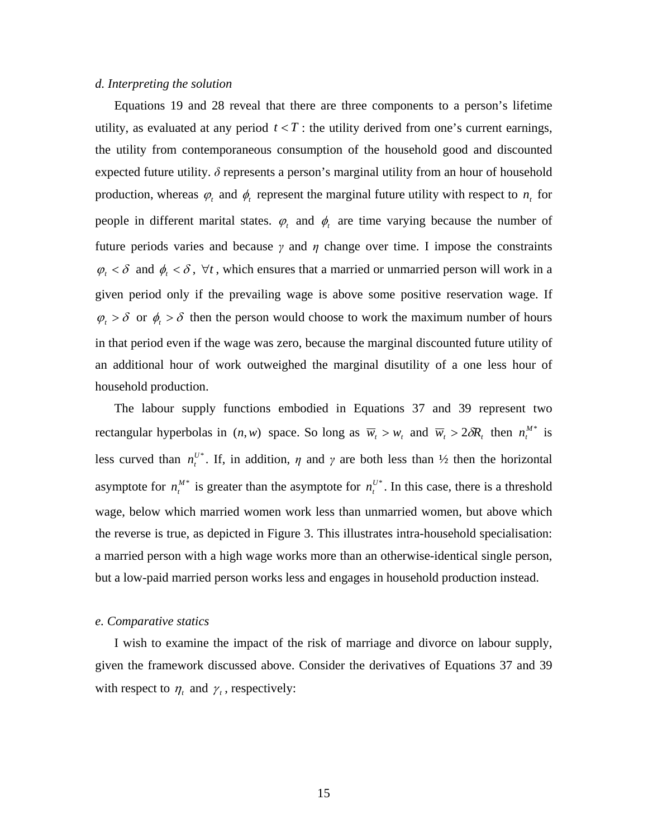#### *d. Interpreting the solution*

Equations 19 and 28 reveal that there are three components to a person's lifetime utility, as evaluated at any period  $t < T$ : the utility derived from one's current earnings, the utility from contemporaneous consumption of the household good and discounted expected future utility.  $\delta$  represents a person's marginal utility from an hour of household production, whereas  $\varphi_t$  and  $\varphi_t$  represent the marginal future utility with respect to  $n_t$  for people in different marital states.  $\varphi_t$  and  $\varphi_t$  are time varying because the number of future periods varies and because  $\gamma$  and  $\eta$  change over time. I impose the constraints  $\varphi_t < \delta$  and  $\varphi_t < \delta$ ,  $\forall t$ , which ensures that a married or unmarried person will work in a given period only if the prevailing wage is above some positive reservation wage. If  $\varphi_t > \delta$  or  $\phi_t > \delta$  then the person would choose to work the maximum number of hours in that period even if the wage was zero, because the marginal discounted future utility of an additional hour of work outweighed the marginal disutility of a one less hour of household production.

The labour supply functions embodied in Equations 37 and 39 represent two rectangular hyperbolas in  $(n, w)$  space. So long as  $\overline{w}_t > w_t$  and  $\overline{w}_t > 2\delta R_t$  then  $n_t^{M^*}$  is less curved than  $n_t^{U^*}$ . If, in addition,  $\eta$  and  $\gamma$  are both less than  $\frac{1}{2}$  then the horizontal asymptote for  $n_t^{M^*}$  is greater than the asymptote for  $n_t^{U^*}$ . In this case, there is a threshold wage, below which married women work less than unmarried women, but above which the reverse is true, as depicted in Figure 3. This illustrates intra-household specialisation: a married person with a high wage works more than an otherwise-identical single person, but a low-paid married person works less and engages in household production instead.

#### *e. Comparative statics*

I wish to examine the impact of the risk of marriage and divorce on labour supply, given the framework discussed above. Consider the derivatives of Equations 37 and 39 with respect to  $\eta_t$  and  $\gamma_t$ , respectively: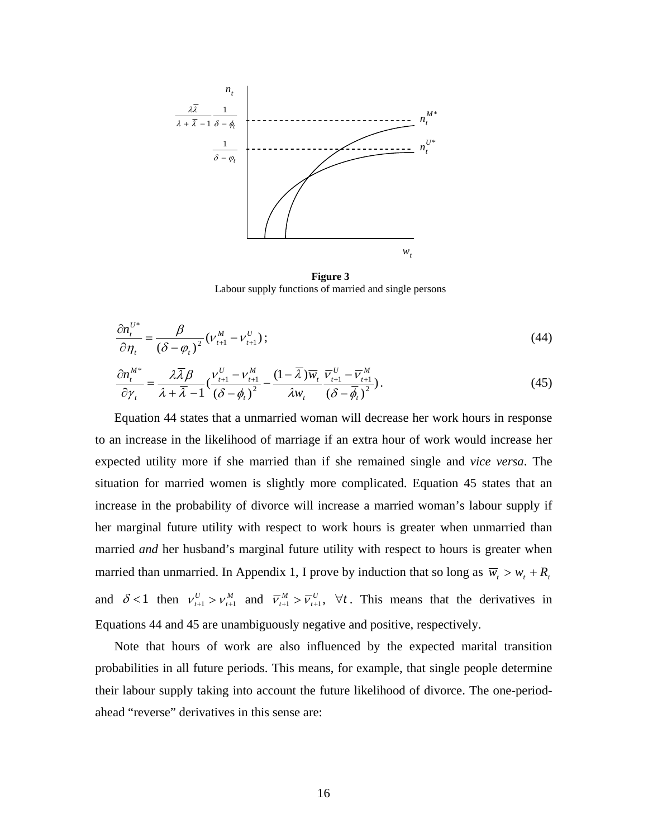

**Figure 3**  Labour supply functions of married and single persons

$$
\frac{\partial n_i^{U^*}}{\partial \eta_i} = \frac{\beta}{\left(\delta - \varphi_i\right)^2} \left(\nu_{i+1}^M - \nu_{i+1}^U\right);
$$
\n(44)

$$
\frac{\partial n_t^{M*}}{\partial \gamma_t} = \frac{\lambda \overline{\lambda} \beta}{\lambda + \overline{\lambda} - 1} \left( \frac{v_{t+1}^U - v_{t+1}^M}{\left(\delta - \phi_t\right)^2} - \frac{(1 - \overline{\lambda}) \overline{w}_t}{\lambda w_t} \frac{\overline{v}_{t+1}^U - \overline{v}_{t+1}^M}{\left(\delta - \overline{\phi}_t\right)^2} \right). \tag{45}
$$

Equation 44 states that a unmarried woman will decrease her work hours in response to an increase in the likelihood of marriage if an extra hour of work would increase her expected utility more if she married than if she remained single and *vice versa*. The situation for married women is slightly more complicated. Equation 45 states that an increase in the probability of divorce will increase a married woman's labour supply if her marginal future utility with respect to work hours is greater when unmarried than married *and* her husband's marginal future utility with respect to hours is greater when married than unmarried. In Appendix 1, I prove by induction that so long as  $\overline{w}_t > w_t + R_t$ and  $\delta$  <1 then  $v_{t+1}^U > v_{t+1}^M$  and  $\overline{v}_{t+1}^M > \overline{v}_{t+1}^U$ ,  $\forall t$ . This means that the derivatives in Equations 44 and 45 are unambiguously negative and positive, respectively.

Note that hours of work are also influenced by the expected marital transition probabilities in all future periods. This means, for example, that single people determine their labour supply taking into account the future likelihood of divorce. The one-periodahead "reverse" derivatives in this sense are: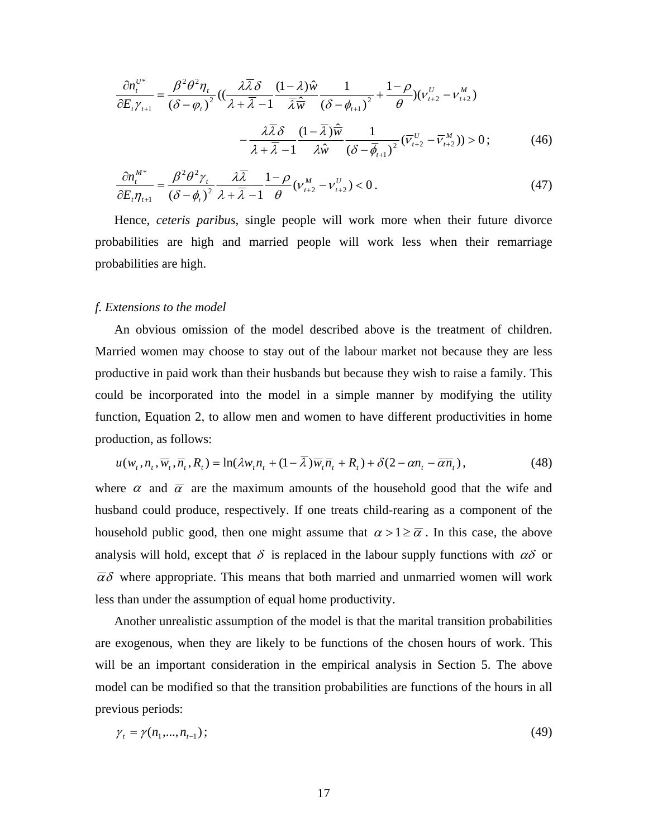$$
\frac{\partial n_t^{U^*}}{\partial E_t \gamma_{t+1}} = \frac{\beta^2 \theta^2 \eta_t}{(\delta - \varphi_t)^2} \left( \frac{\lambda \overline{\lambda} \delta}{\lambda + \overline{\lambda} - 1} \frac{(1 - \lambda)\hat{w}}{\overline{\lambda}\hat{w}} \frac{1}{(\delta - \phi_{t+1})^2} + \frac{1 - \rho}{\theta} \right) \left( \nu_{t+2}^U - \nu_{t+2}^M \right) - \frac{\lambda \overline{\lambda} \delta}{\lambda + \overline{\lambda} - 1} \frac{(1 - \overline{\lambda})\hat{w}}{\lambda \hat{w}} \frac{1}{(\delta - \overline{\phi}_{t+1})^2} \left( \overline{\nu}_{t+2}^U - \overline{\nu}_{t+2}^M \right) > 0; \tag{46}
$$

$$
\frac{\partial n_t^{M^*}}{\partial E_t \eta_{t+1}} = \frac{\beta^2 \theta^2 \gamma_t}{\left(\delta - \phi_t\right)^2} \frac{\lambda \overline{\lambda}}{\lambda + \overline{\lambda} - 1} \frac{1 - \rho}{\theta} \left(v_{t+2}^M - v_{t+2}^U\right) < 0. \tag{47}
$$

 Hence, *ceteris paribus*, single people will work more when their future divorce probabilities are high and married people will work less when their remarriage probabilities are high.

#### *f. Extensions to the model*

An obvious omission of the model described above is the treatment of children. Married women may choose to stay out of the labour market not because they are less productive in paid work than their husbands but because they wish to raise a family. This could be incorporated into the model in a simple manner by modifying the utility function, Equation 2, to allow men and women to have different productivities in home production, as follows:

$$
u(w_t, n_t, \overline{w}_t, \overline{n}_t, R_t) = \ln(\lambda w_t n_t + (1 - \overline{\lambda}) \overline{w}_t \overline{n}_t + R_t) + \delta(2 - \alpha n_t - \overline{\alpha} \overline{n}_t),
$$
(48)

where  $\alpha$  and  $\overline{\alpha}$  are the maximum amounts of the household good that the wife and husband could produce, respectively. If one treats child-rearing as a component of the household public good, then one might assume that  $\alpha > 1 \ge \overline{\alpha}$ . In this case, the above analysis will hold, except that  $\delta$  is replaced in the labour supply functions with  $\alpha\delta$  or  $\overline{\alpha}\delta$  where appropriate. This means that both married and unmarried women will work less than under the assumption of equal home productivity.

Another unrealistic assumption of the model is that the marital transition probabilities are exogenous, when they are likely to be functions of the chosen hours of work. This will be an important consideration in the empirical analysis in Section 5. The above model can be modified so that the transition probabilities are functions of the hours in all previous periods:

$$
\gamma_t = \gamma(n_1, \dots, n_{t-1}); \tag{49}
$$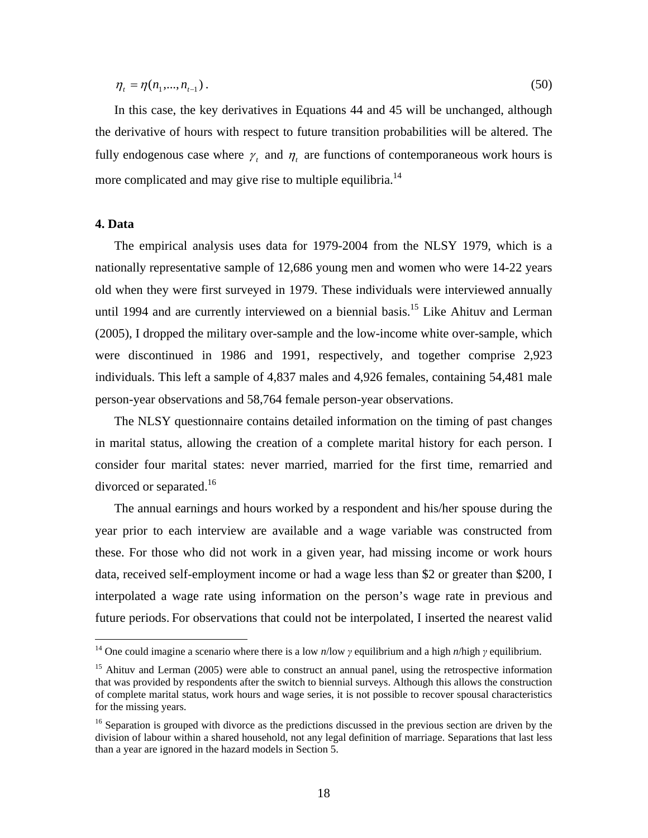$$
\eta_t = \eta(n_1, \dots, n_{t-1}). \tag{50}
$$

In this case, the key derivatives in Equations 44 and 45 will be unchanged, although the derivative of hours with respect to future transition probabilities will be altered. The fully endogenous case where  $\gamma_t$  and  $\eta_t$  are functions of contemporaneous work hours is more complicated and may give rise to multiple equilibria.<sup>[14](#page-20-0)</sup>

#### **4. Data**

 $\overline{a}$ 

The empirical analysis uses data for 1979-2004 from the NLSY 1979, which is a nationally representative sample of 12,686 young men and women who were 14-22 years old when they were first surveyed in 1979. These individuals were interviewed annually until 1994 and are currently interviewed on a biennial basis.<sup>15</sup> Like Ahituv and Lerman (2005), I dropped the military over-sample and the low-income white over-sample, which were discontinued in 1986 and 1991, respectively, and together comprise 2,923 individuals. This left a sample of 4,837 males and 4,926 females, containing 54,481 male person-year observations and 58,764 female person-year observations.

The NLSY questionnaire contains detailed information on the timing of past changes in marital status, allowing the creation of a complete marital history for each person. I consider four marital states: never married, married for the first time, remarried and divorced or separated.<sup>[16](#page-20-2)</sup>

The annual earnings and hours worked by a respondent and his/her spouse during the year prior to each interview are available and a wage variable was constructed from these. For those who did not work in a given year, had missing income or work hours data, received self-employment income or had a wage less than \$2 or greater than \$200, I interpolated a wage rate using information on the person's wage rate in previous and future periods. For observations that could not be interpolated, I inserted the nearest valid

<span id="page-20-0"></span><sup>14</sup> One could imagine a scenario where there is a low *n*/low *γ* equilibrium and a high *n*/high *γ* equilibrium.

<span id="page-20-1"></span><sup>&</sup>lt;sup>15</sup> Ahituv and Lerman (2005) were able to construct an annual panel, using the retrospective information that was provided by respondents after the switch to biennial surveys. Although this allows the construction of complete marital status, work hours and wage series, it is not possible to recover spousal characteristics for the missing years.

<span id="page-20-2"></span><sup>&</sup>lt;sup>16</sup> Separation is grouped with divorce as the predictions discussed in the previous section are driven by the division of labour within a shared household, not any legal definition of marriage. Separations that last less than a year are ignored in the hazard models in Section 5.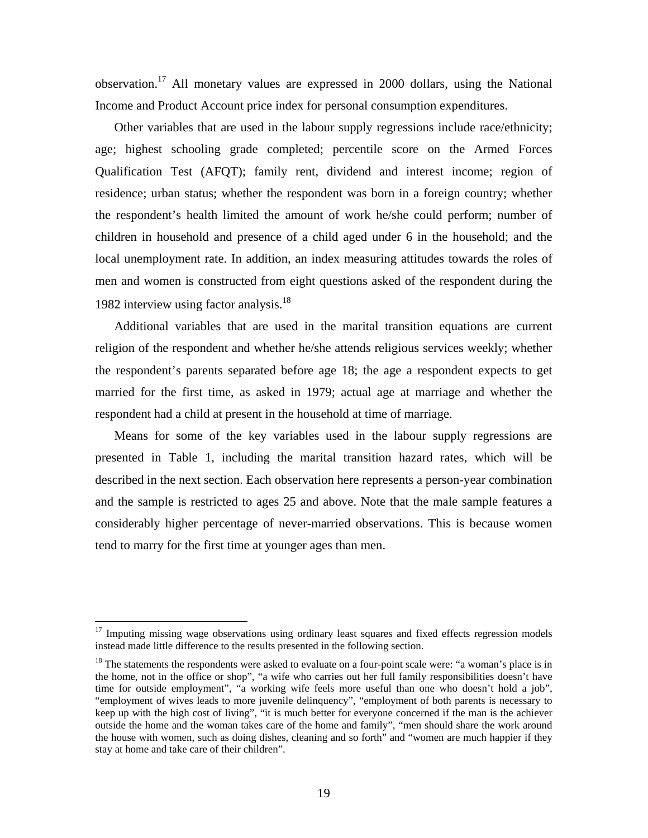observation[.17](#page-21-0) All monetary values are expressed in 2000 dollars, using the National Income and Product Account price index for personal consumption expenditures.

Other variables that are used in the labour supply regressions include race/ethnicity; age; highest schooling grade completed; percentile score on the Armed Forces Qualification Test (AFQT); family rent, dividend and interest income; region of residence; urban status; whether the respondent was born in a foreign country; whether the respondent's health limited the amount of work he/she could perform; number of children in household and presence of a child aged under 6 in the household; and the local unemployment rate. In addition, an index measuring attitudes towards the roles of men and women is constructed from eight questions asked of the respondent during the 1982 interview using factor analysis.<sup>[18](#page-21-1)</sup>

Additional variables that are used in the marital transition equations are current religion of the respondent and whether he/she attends religious services weekly; whether the respondent's parents separated before age 18; the age a respondent expects to get married for the first time, as asked in 1979; actual age at marriage and whether the respondent had a child at present in the household at time of marriage.

Means for some of the key variables used in the labour supply regressions are presented in Table 1, including the marital transition hazard rates, which will be described in the next section. Each observation here represents a person-year combination and the sample is restricted to ages 25 and above. Note that the male sample features a considerably higher percentage of never-married observations. This is because women tend to marry for the first time at younger ages than men.

 $\overline{a}$ 

<span id="page-21-0"></span> $17$  Imputing missing wage observations using ordinary least squares and fixed effects regression models instead made little difference to the results presented in the following section.

<span id="page-21-1"></span><sup>&</sup>lt;sup>18</sup> The statements the respondents were asked to evaluate on a four-point scale were: "a woman's place is in the home, not in the office or shop", "a wife who carries out her full family responsibilities doesn't have time for outside employment", "a working wife feels more useful than one who doesn't hold a job", "employment of wives leads to more juvenile delinquency", "employment of both parents is necessary to keep up with the high cost of living", "it is much better for everyone concerned if the man is the achiever outside the home and the woman takes care of the home and family", "men should share the work around the house with women, such as doing dishes, cleaning and so forth" and "women are much happier if they stay at home and take care of their children".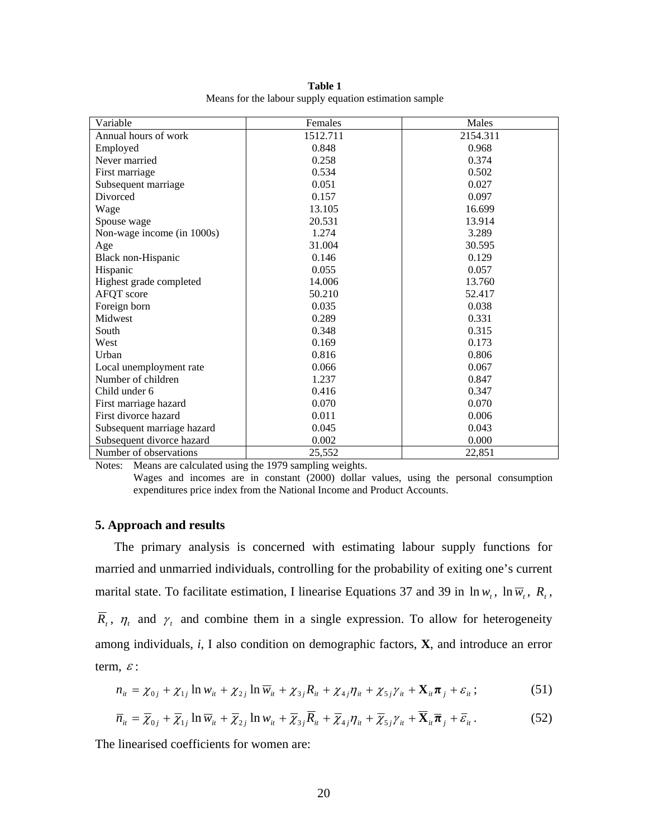| Variable                               | Females                                                           | Males    |
|----------------------------------------|-------------------------------------------------------------------|----------|
| Annual hours of work                   | 1512.711                                                          | 2154.311 |
| Employed                               | 0.848                                                             | 0.968    |
| Never married                          | 0.258                                                             | 0.374    |
| First marriage                         | 0.534                                                             | 0.502    |
| Subsequent marriage                    | 0.051                                                             | 0.027    |
| Divorced                               | 0.157                                                             | 0.097    |
| Wage                                   | 13.105                                                            | 16.699   |
| Spouse wage                            | 20.531                                                            | 13.914   |
| Non-wage income (in 1000s)             | 1.274                                                             | 3.289    |
| Age                                    | 31.004                                                            | 30.595   |
| Black non-Hispanic                     | 0.146                                                             | 0.129    |
| Hispanic                               | 0.055                                                             | 0.057    |
| Highest grade completed                | 14.006                                                            | 13.760   |
| AFQT score                             | 50.210                                                            | 52.417   |
| Foreign born                           | 0.035                                                             | 0.038    |
| Midwest                                | 0.289                                                             | 0.331    |
| South                                  | 0.348                                                             | 0.315    |
| West                                   | 0.169                                                             | 0.173    |
| Urban                                  | 0.816                                                             | 0.806    |
| Local unemployment rate                | 0.066                                                             | 0.067    |
| Number of children                     | 1.237                                                             | 0.847    |
| Child under 6                          | 0.416                                                             | 0.347    |
| First marriage hazard                  | 0.070                                                             | 0.070    |
| First divorce hazard                   | 0.011                                                             | 0.006    |
| Subsequent marriage hazard             | 0.045                                                             | 0.043    |
| Subsequent divorce hazard              | 0.002                                                             | 0.000    |
| Number of observations<br>$\mathbf{r}$ | 25,552<br>$\cdot$ $\cdot$ $\cdot$<br>$\cdot$ 1<br>1070<br>$\cdot$ | 22,851   |

**Table 1** Means for the labour supply equation estimation sample

Notes: Means are calculated using the 1979 sampling weights.

Wages and incomes are in constant (2000) dollar values, using the personal consumption expenditures price index from the National Income and Product Accounts.

#### **5. Approach and results**

The primary analysis is concerned with estimating labour supply functions for married and unmarried individuals, controlling for the probability of exiting one's current marital state. To facilitate estimation, I linearise Equations 37 and 39 in  $\ln w_t$ ,  $\ln \overline{w}_t$ ,  $R_t$ ,  $\overline{R}_{t}$ ,  $\eta_{t}$  and  $\gamma_{t}$  and combine them in a single expression. To allow for heterogeneity among individuals, *i*, I also condition on demographic factors, **X**, and introduce an error term,  $\varepsilon$  :

$$
n_{ii} = \chi_{0j} + \chi_{1j} \ln w_{ii} + \chi_{2j} \ln \overline{w}_{ii} + \chi_{3j} R_{ii} + \chi_{4j} \eta_{ii} + \chi_{5j} \gamma_{ii} + \mathbf{X}_{ii} \pi_j + \varepsilon_{ii};
$$
 (51)

$$
\overline{n}_{it} = \overline{\chi}_{0j} + \overline{\chi}_{1j} \ln \overline{w}_{it} + \overline{\chi}_{2j} \ln w_{it} + \overline{\chi}_{3j} \overline{R}_{it} + \overline{\chi}_{4j} \eta_{it} + \overline{\chi}_{5j} \gamma_{it} + \overline{\mathbf{X}}_{it} \overline{\boldsymbol{\pi}}_{j} + \overline{\varepsilon}_{it}.
$$
 (52)

The linearised coefficients for women are: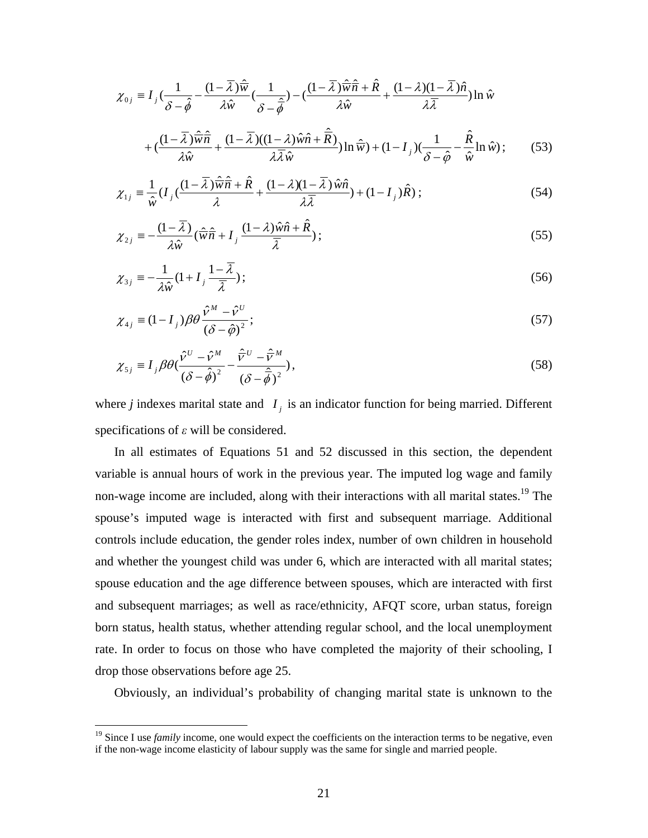$$
\chi_{0j} = I_j \left( \frac{1}{\delta - \hat{\phi}} - \frac{(1 - \overline{\lambda})\hat{\overline{w}}}{\lambda \hat{w}} \left( \frac{1}{\delta - \hat{\phi}} \right) - \left( \frac{(1 - \overline{\lambda})\hat{\overline{w}}\hat{\overline{n}} + \hat{R}}{\lambda \hat{w}} + \frac{(1 - \lambda)(1 - \overline{\lambda})\hat{n}}{\lambda \overline{\lambda}} \right) \ln \hat{w} + \left( \frac{(1 - \overline{\lambda})\hat{\overline{w}}\hat{\overline{n}}}{\lambda \hat{w}} + \frac{(1 - \overline{\lambda})(1 - \lambda)\hat{w}\hat{n} + \hat{R}}{\lambda \overline{\lambda}\hat{w}} \right) \ln \hat{\overline{w}} + (1 - I_j) \left( \frac{1}{\delta - \hat{\phi}} - \frac{\hat{R}}{\hat{w}}\ln \hat{w} \right);
$$
(53)

$$
\chi_{1j} = \frac{1}{\hat{w}} (I_j \left( \frac{(1 - \overline{\lambda}) \hat{\overline{w}} \hat{\overline{n}} + \hat{R}}{\lambda} + \frac{(1 - \lambda)(1 - \overline{\lambda}) \hat{w} \hat{n}}{\lambda \overline{\lambda}} \right) + (1 - I_j) \hat{R} ; \tag{54}
$$

$$
\chi_{2j} = -\frac{(1-\overline{\lambda})}{\lambda \hat{w}} (\hat{\overline{w}} \hat{\overline{n}} + I_j \frac{(1-\lambda)\hat{w}\hat{n} + \hat{R}}{\overline{\lambda}}); \tag{55}
$$

$$
\chi_{3j} \equiv -\frac{1}{\lambda \hat{w}} (1 + I_j \frac{1 - \overline{\lambda}}{\overline{\lambda}}); \tag{56}
$$

$$
\chi_{4j} \equiv (1 - I_j) \beta \theta \frac{\hat{v}^M - \hat{v}^U}{\left(\delta - \hat{\phi}\right)^2};\tag{57}
$$

$$
\chi_{5j} \equiv I_j \beta \theta \left( \frac{\hat{v}^U - \hat{v}^M}{\left(\delta - \hat{\phi}\right)^2} - \frac{\hat{\overline{v}}^U - \hat{\overline{v}}^M}{\left(\delta - \hat{\overline{\phi}}\right)^2} \right),\tag{58}
$$

where *j* indexes marital state and  $I_j$  is an indicator function for being married. Different specifications of *ε* will be considered.

In all estimates of Equations 51 and 52 discussed in this section, the dependent variable is annual hours of work in the previous year. The imputed log wage and family non-wage income are included, along with their interactions with all marital states.<sup>19</sup> The spouse's imputed wage is interacted with first and subsequent marriage. Additional controls include education, the gender roles index, number of own children in household and whether the youngest child was under 6, which are interacted with all marital states; spouse education and the age difference between spouses, which are interacted with first and subsequent marriages; as well as race/ethnicity, AFQT score, urban status, foreign born status, health status, whether attending regular school, and the local unemployment rate. In order to focus on those who have completed the majority of their schooling, I drop those observations before age 25.

Obviously, an individual's probability of changing marital state is unknown to the

1

<span id="page-23-0"></span><sup>&</sup>lt;sup>19</sup> Since I use *family* income, one would expect the coefficients on the interaction terms to be negative, even if the non-wage income elasticity of labour supply was the same for single and married people.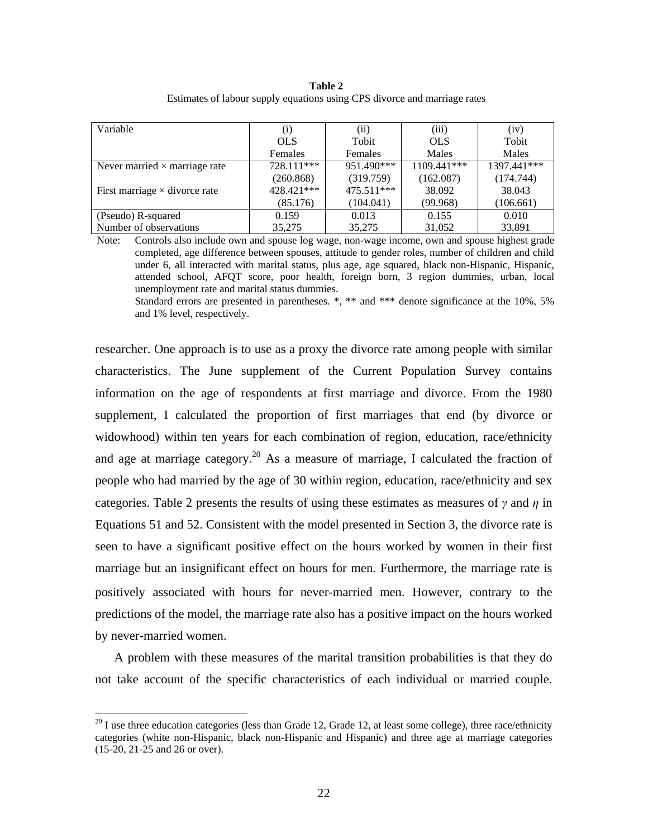**Table 2** Estimates of labour supply equations using CPS divorce and marriage rates

| Variable                             | (i)        | (ii)         | (iii)       | (iv)        |
|--------------------------------------|------------|--------------|-------------|-------------|
| <b>OLS</b>                           |            | Tobit        | <b>OLS</b>  | Tobit       |
|                                      | Females    | Females      | Males       | Males       |
| Never married $\times$ marriage rate | 728.111*** | 951.490***   | 1109.441*** | 1397.441*** |
|                                      | (260.868)  | (319.759)    | (162.087)   | (174.744)   |
| First marriage $\times$ divorce rate | 428.421*** | $475.511***$ | 38.092      | 38.043      |
|                                      | (85.176)   | (104.041)    | (99.968)    | (106.661)   |
| (Pseudo) R-squared                   | 0.159      | 0.013        | 0.155       | 0.010       |
| Number of observations               | 35,275     | 35,275       | 31,052      | 33,891      |

Note: Controls also include own and spouse log wage, non-wage income, own and spouse highest grade completed, age difference between spouses, attitude to gender roles, number of children and child under 6, all interacted with marital status, plus age, age squared, black non-Hispanic, Hispanic, attended school, AFQT score, poor health, foreign born, 3 region dummies, urban, local unemployment rate and marital status dummies.

Standard errors are presented in parentheses. \*, \*\* and \*\*\* denote significance at the 10%, 5% and 1% level, respectively.

researcher. One approach is to use as a proxy the divorce rate among people with similar characteristics. The June supplement of the Current Population Survey contains information on the age of respondents at first marriage and divorce. From the 1980 supplement, I calculated the proportion of first marriages that end (by divorce or widowhood) within ten years for each combination of region, education, race/ethnicity and age at marriage category.<sup>20</sup> As a measure of marriage, I calculated the fraction of people who had married by the age of 30 within region, education, race/ethnicity and sex categories. Table 2 presents the results of using these estimates as measures of  $\gamma$  and  $\eta$  in Equations 51 and 52. Consistent with the model presented in Section 3, the divorce rate is seen to have a significant positive effect on the hours worked by women in their first marriage but an insignificant effect on hours for men. Furthermore, the marriage rate is positively associated with hours for never-married men. However, contrary to the predictions of the model, the marriage rate also has a positive impact on the hours worked by never-married women.

A problem with these measures of the marital transition probabilities is that they do not take account of the specific characteristics of each individual or married couple.

1

<span id="page-24-0"></span><sup>&</sup>lt;sup>20</sup> I use three education categories (less than Grade 12, Grade 12, at least some college), three race/ethnicity categories (white non-Hispanic, black non-Hispanic and Hispanic) and three age at marriage categories (15-20, 21-25 and 26 or over).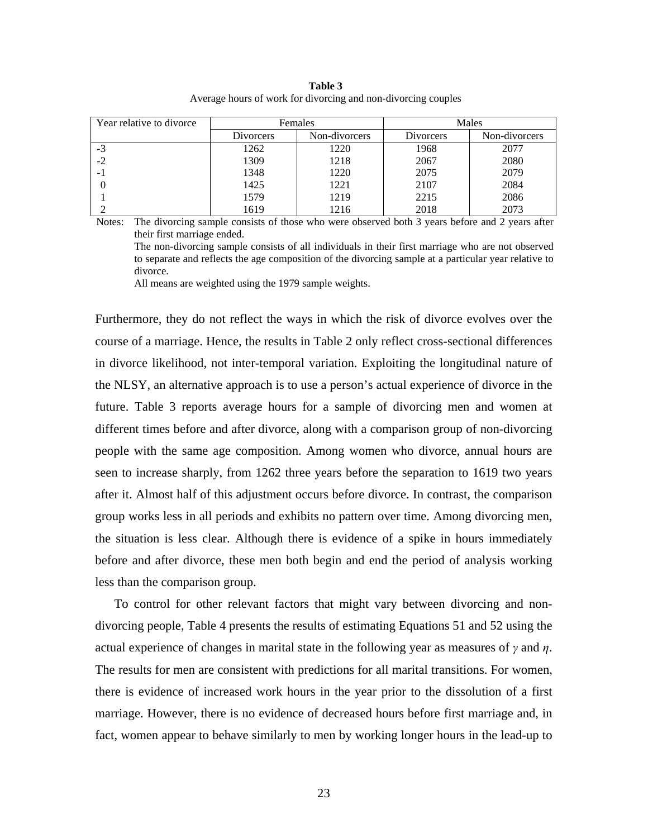| Year relative to divorce |                  | Females       |                  | Males         |
|--------------------------|------------------|---------------|------------------|---------------|
|                          | <b>Divorcers</b> | Non-divorcers | <b>Divorcers</b> | Non-divorcers |
| -3                       | 1262             | 1220          | 1968             | 2077          |
|                          | 1309             | 1218          | 2067             | 2080          |
| - 1                      | 1348             | 1220          | 2075             | 2079          |
|                          | 1425             | 1221          | 2107             | 2084          |
|                          | 1579             | 1219          | 2215             | 2086          |
|                          | 1619             | 1216          | 2018             | 2073          |

**Table 3** Average hours of work for divorcing and non-divorcing couples

Notes: The divorcing sample consists of those who were observed both 3 years before and 2 years after their first marriage ended.

The non-divorcing sample consists of all individuals in their first marriage who are not observed to separate and reflects the age composition of the divorcing sample at a particular year relative to divorce.

All means are weighted using the 1979 sample weights.

Furthermore, they do not reflect the ways in which the risk of divorce evolves over the course of a marriage. Hence, the results in Table 2 only reflect cross-sectional differences in divorce likelihood, not inter-temporal variation. Exploiting the longitudinal nature of the NLSY, an alternative approach is to use a person's actual experience of divorce in the future. Table 3 reports average hours for a sample of divorcing men and women at different times before and after divorce, along with a comparison group of non-divorcing people with the same age composition. Among women who divorce, annual hours are seen to increase sharply, from 1262 three years before the separation to 1619 two years after it. Almost half of this adjustment occurs before divorce. In contrast, the comparison group works less in all periods and exhibits no pattern over time. Among divorcing men, the situation is less clear. Although there is evidence of a spike in hours immediately before and after divorce, these men both begin and end the period of analysis working less than the comparison group.

To control for other relevant factors that might vary between divorcing and nondivorcing people, Table 4 presents the results of estimating Equations 51 and 52 using the actual experience of changes in marital state in the following year as measures of *γ* and *η*. The results for men are consistent with predictions for all marital transitions. For women, there is evidence of increased work hours in the year prior to the dissolution of a first marriage. However, there is no evidence of decreased hours before first marriage and, in fact, women appear to behave similarly to men by working longer hours in the lead-up to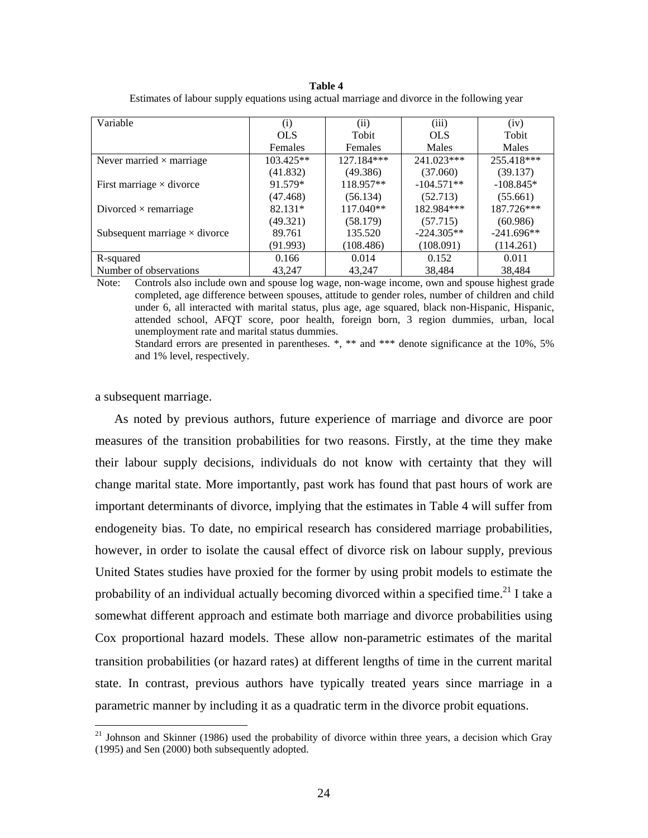| Variable                             | (i)         | (i)         | (iii)        | (iv)         |
|--------------------------------------|-------------|-------------|--------------|--------------|
|                                      | <b>OLS</b>  | Tobit       | <b>OLS</b>   | Tobit        |
|                                      | Females     | Females     | Males        | Males        |
| Never married $\times$ marriage      | $103.425**$ | 127.184***  | 241.023***   | 255.418***   |
|                                      | (41.832)    | (49.386)    | (37.060)     | (39.137)     |
| First marriage $\times$ divorce      | 91.579*     | 118.957**   | $-104.571**$ | $-108.845*$  |
|                                      | (47.468)    | (56.134)    | (52.713)     | (55.661)     |
| Divorced $\times$ remarriage         | $82.131*$   | $117.040**$ | 182.984***   | 187.726***   |
|                                      | (49.321)    | (58.179)    | (57.715)     | (60.986)     |
| Subsequent marriage $\times$ divorce | 89.761      | 135.520     | $-224.305**$ | $-241.696**$ |
|                                      | (91.993)    | (108.486)   | (108.091)    | (114.261)    |
| R-squared                            | 0.166       | 0.014       | 0.152        | 0.011        |
| Number of observations               | 43,247      | 43,247      | 38,484       | 38,484       |

**Table 4** Estimates of labour supply equations using actual marriage and divorce in the following year

Note: Controls also include own and spouse log wage, non-wage income, own and spouse highest grade completed, age difference between spouses, attitude to gender roles, number of children and child under 6, all interacted with marital status, plus age, age squared, black non-Hispanic, Hispanic, attended school, AFQT score, poor health, foreign born, 3 region dummies, urban, local unemployment rate and marital status dummies.

Standard errors are presented in parentheses. \*, \*\* and \*\*\* denote significance at the 10%, 5% and 1% level, respectively.

a subsequent marriage.

 $\overline{a}$ 

As noted by previous authors, future experience of marriage and divorce are poor measures of the transition probabilities for two reasons. Firstly, at the time they make their labour supply decisions, individuals do not know with certainty that they will change marital state. More importantly, past work has found that past hours of work are important determinants of divorce, implying that the estimates in Table 4 will suffer from endogeneity bias. To date, no empirical research has considered marriage probabilities, however, in order to isolate the causal effect of divorce risk on labour supply, previous United States studies have proxied for the former by using probit models to estimate the probability of an individual actually becoming divorced within a specified time.<sup>21</sup> I take a somewhat different approach and estimate both marriage and divorce probabilities using Cox proportional hazard models. These allow non-parametric estimates of the marital transition probabilities (or hazard rates) at different lengths of time in the current marital state. In contrast, previous authors have typically treated years since marriage in a parametric manner by including it as a quadratic term in the divorce probit equations.

<span id="page-26-0"></span> $21$  Johnson and Skinner (1986) used the probability of divorce within three years, a decision which Gray (1995) and Sen (2000) both subsequently adopted.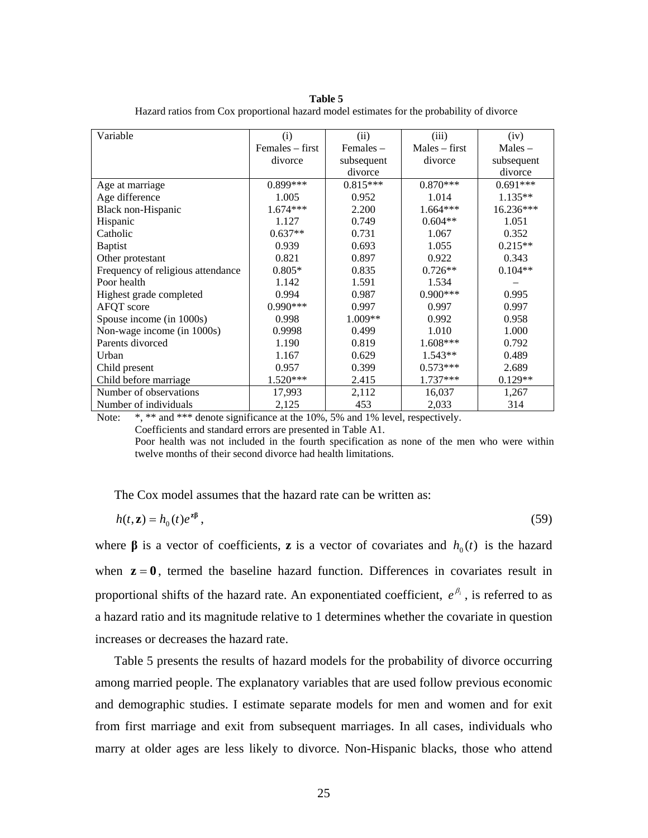**Table 5**

| Variable                          | (i)                | (ii)       | (iii)           | (iv)       |
|-----------------------------------|--------------------|------------|-----------------|------------|
|                                   | $F$ emales – first | Females -  | $Males - first$ | $Males -$  |
|                                   | divorce            | subsequent | divorce         | subsequent |
|                                   |                    | divorce    |                 | divorce    |
| Age at marriage                   | $0.899***$         | $0.815***$ | $0.870***$      | $0.691***$ |
| Age difference                    | 1.005              | 0.952      | 1.014           | $1.135**$  |
| Black non-Hispanic                | $1.674***$         | 2.200      | $1.664***$      | 16.236***  |
| Hispanic                          | 1.127              | 0.749      | $0.604**$       | 1.051      |
| Catholic                          | $0.637**$          | 0.731      | 1.067           | 0.352      |
| <b>Baptist</b>                    | 0.939              | 0.693      | 1.055           | $0.215**$  |
| Other protestant                  | 0.821              | 0.897      | 0.922           | 0.343      |
| Frequency of religious attendance | $0.805*$           | 0.835      | $0.726**$       | $0.104**$  |
| Poor health                       | 1.142              | 1.591      | 1.534           |            |
| Highest grade completed           | 0.994              | 0.987      | $0.900$ ***     | 0.995      |
| AFQT score                        | $0.990***$         | 0.997      | 0.997           | 0.997      |
| Spouse income (in 1000s)          | 0.998              | $1.009**$  | 0.992           | 0.958      |
| Non-wage income (in 1000s)        | 0.9998             | 0.499      | 1.010           | 1.000      |
| Parents divorced                  | 1.190              | 0.819      | $1.608***$      | 0.792      |
| Urban                             | 1.167              | 0.629      | $1.543**$       | 0.489      |
| Child present                     | 0.957              | 0.399      | $0.573***$      | 2.689      |
| Child before marriage             | 1.520***           | 2.415      | $1.737***$      | $0.129**$  |
| Number of observations            | 17,993             | 2,112      | 16,037          | 1,267      |
| Number of individuals             | 2,125              | 453        | 2,033           | 314        |

Hazard ratios from Cox proportional hazard model estimates for the probability of divorce

Note: \*, \*\* and \*\*\* denote significance at the 10%, 5% and 1% level, respectively.

Coefficients and standard errors are presented in Table A1.

Poor health was not included in the fourth specification as none of the men who were within twelve months of their second divorce had health limitations.

The Cox model assumes that the hazard rate can be written as:

$$
h(t, \mathbf{z}) = h_0(t)e^{\mathbf{z}\beta},\tag{59}
$$

where  $\beta$  is a vector of coefficients, **z** is a vector of covariates and  $h_0(t)$  is the hazard when  $z = 0$ , termed the baseline hazard function. Differences in covariates result in proportional shifts of the hazard rate. An exponentiated coefficient,  $e^{\beta_i}$ , is referred to as a hazard ratio and its magnitude relative to 1 determines whether the covariate in question increases or decreases the hazard rate.

Table 5 presents the results of hazard models for the probability of divorce occurring among married people. The explanatory variables that are used follow previous economic and demographic studies. I estimate separate models for men and women and for exit from first marriage and exit from subsequent marriages. In all cases, individuals who marry at older ages are less likely to divorce. Non-Hispanic blacks, those who attend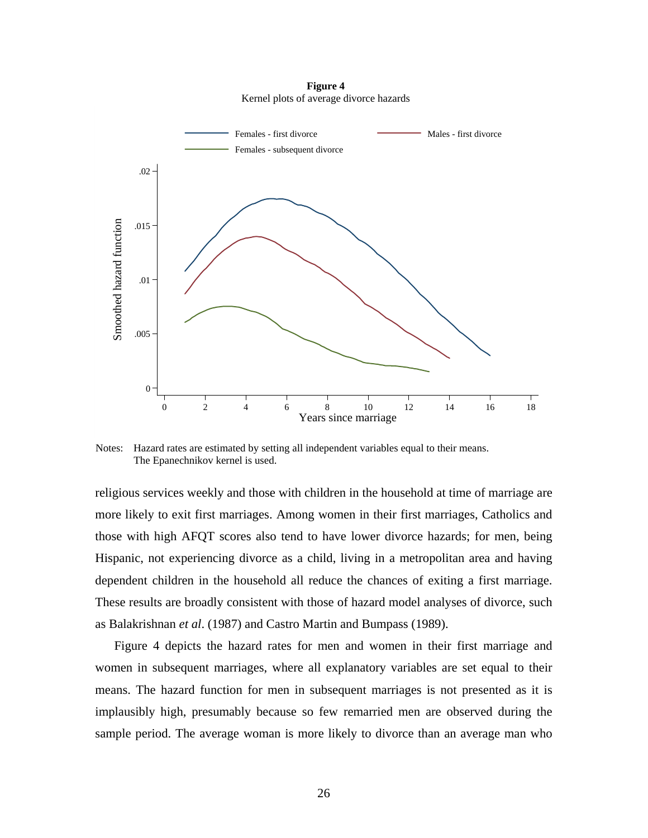**Figure 4**  Kernel plots of average divorce hazards



Notes: Hazard rates are estimated by setting all independent variables equal to their means. The Epanechnikov kernel is used.

religious services weekly and those with children in the household at time of marriage are more likely to exit first marriages. Among women in their first marriages, Catholics and those with high AFQT scores also tend to have lower divorce hazards; for men, being Hispanic, not experiencing divorce as a child, living in a metropolitan area and having dependent children in the household all reduce the chances of exiting a first marriage. These results are broadly consistent with those of hazard model analyses of divorce, such as Balakrishnan *et al*. (1987) and Castro Martin and Bumpass (1989).

Figure 4 depicts the hazard rates for men and women in their first marriage and women in subsequent marriages, where all explanatory variables are set equal to their means. The hazard function for men in subsequent marriages is not presented as it is implausibly high, presumably because so few remarried men are observed during the sample period. The average woman is more likely to divorce than an average man who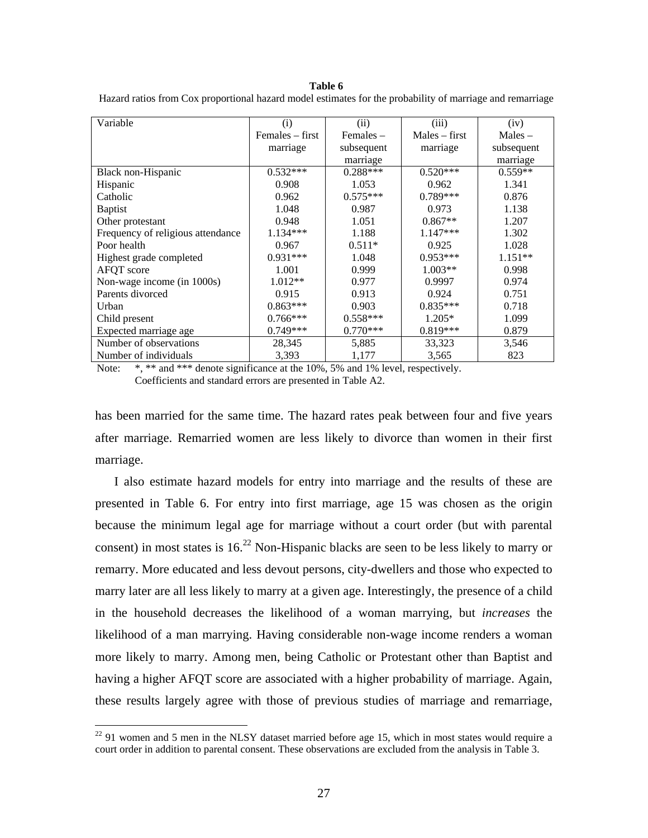#### **Table 6**

| Hazard ratios from Cox proportional hazard model estimates for the probability of marriage and remarriage |  |  |  |
|-----------------------------------------------------------------------------------------------------------|--|--|--|
|                                                                                                           |  |  |  |
|                                                                                                           |  |  |  |

| Variable                          | (i)                | (ii)        | (iii)           | (iv)       |
|-----------------------------------|--------------------|-------------|-----------------|------------|
|                                   | $F$ emales – first | Females $-$ | $Males - first$ | $Males -$  |
|                                   | marriage           | subsequent  | marriage        | subsequent |
|                                   |                    | marriage    |                 | marriage   |
| Black non-Hispanic                | $0.532***$         | $0.288***$  | $0.520***$      | $0.559**$  |
| Hispanic                          | 0.908              | 1.053       | 0.962           | 1.341      |
| Catholic                          | 0.962              | $0.575***$  | $0.789***$      | 0.876      |
| <b>Baptist</b>                    | 1.048              | 0.987       | 0.973           | 1.138      |
| Other protestant                  | 0.948              | 1.051       | $0.867**$       | 1.207      |
| Frequency of religious attendance | $1.134***$         | 1.188       | $1.147***$      | 1.302      |
| Poor health                       | 0.967              | $0.511*$    | 0.925           | 1.028      |
| Highest grade completed           | $0.931***$         | 1.048       | $0.953***$      | $1.151**$  |
| AFQT score                        | 1.001              | 0.999       | $1.003**$       | 0.998      |
| Non-wage income (in 1000s)        | $1.012**$          | 0.977       | 0.9997          | 0.974      |
| Parents divorced                  | 0.915              | 0.913       | 0.924           | 0.751      |
| Urban                             | $0.863***$         | 0.903       | $0.835***$      | 0.718      |
| Child present                     | $0.766***$         | $0.558***$  | $1.205*$        | 1.099      |
| Expected marriage age             | $0.749***$         | $0.770***$  | $0.819***$      | 0.879      |
| Number of observations            | 28,345             | 5,885       | 33,323          | 3,546      |
| Number of individuals             | 3,393              | 1,177       | 3,565           | 823        |

Note: \*, \*\* and \*\*\* denote significance at the 10%, 5% and 1% level, respectively. Coefficients and standard errors are presented in Table A2.

has been married for the same time. The hazard rates peak between four and five years after marriage. Remarried women are less likely to divorce than women in their first marriage.

I also estimate hazard models for entry into marriage and the results of these are presented in Table 6. For entry into first marriage, age 15 was chosen as the origin because the minimum legal age for marriage without a court order (but with parental consent) in most states is  $16<sup>22</sup>$  Non-Hispanic blacks are seen to be less likely to marry or remarry. More educated and less devout persons, city-dwellers and those who expected to marry later are all less likely to marry at a given age. Interestingly, the presence of a child in the household decreases the likelihood of a woman marrying, but *increases* the likelihood of a man marrying. Having considerable non-wage income renders a woman more likely to marry. Among men, being Catholic or Protestant other than Baptist and having a higher AFQT score are associated with a higher probability of marriage. Again, these results largely agree with those of previous studies of marriage and remarriage,

1

<span id="page-29-0"></span> $22$  91 women and 5 men in the NLSY dataset married before age 15, which in most states would require a court order in addition to parental consent. These observations are excluded from the analysis in Table 3.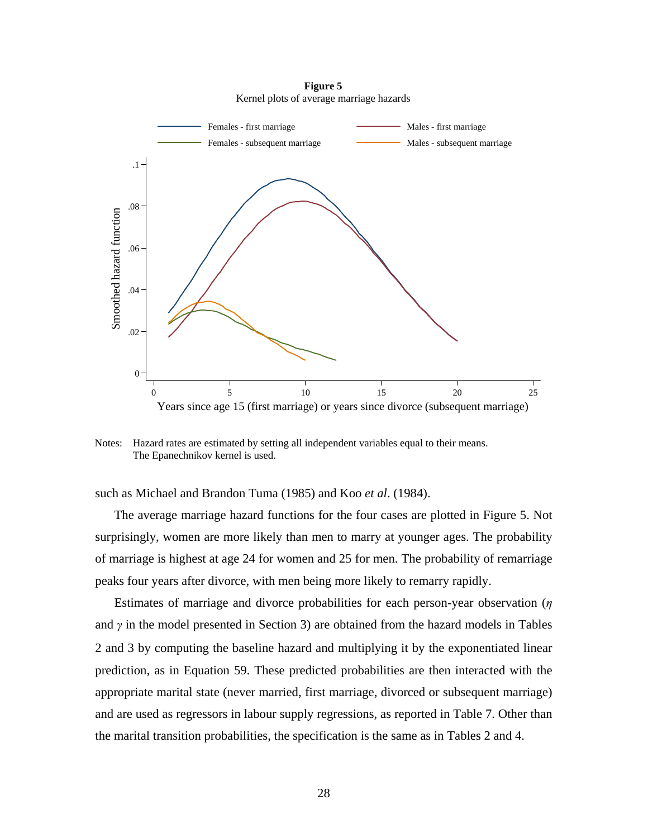**Figure 5**  Kernel plots of average marriage hazards



Notes: Hazard rates are estimated by setting all independent variables equal to their means. The Epanechnikov kernel is used.

such as Michael and Brandon Tuma (1985) and Koo *et al*. (1984).

The average marriage hazard functions for the four cases are plotted in Figure 5. Not surprisingly, women are more likely than men to marry at younger ages. The probability of marriage is highest at age 24 for women and 25 for men. The probability of remarriage peaks four years after divorce, with men being more likely to remarry rapidly.

Estimates of marriage and divorce probabilities for each person-year observation (*η* and *γ* in the model presented in Section 3) are obtained from the hazard models in Tables 2 and 3 by computing the baseline hazard and multiplying it by the exponentiated linear prediction, as in Equation 59. These predicted probabilities are then interacted with the appropriate marital state (never married, first marriage, divorced or subsequent marriage) and are used as regressors in labour supply regressions, as reported in Table 7. Other than the marital transition probabilities, the specification is the same as in Tables 2 and 4.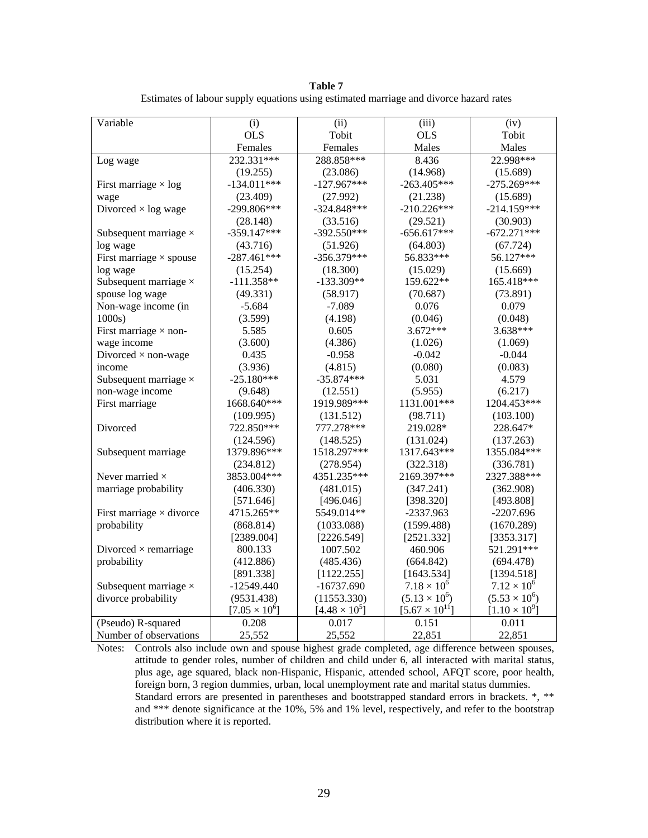**Table 7**

| Estimates of labour supply equations using estimated marriage and divorce hazard rates |  |  |
|----------------------------------------------------------------------------------------|--|--|
|                                                                                        |  |  |
|                                                                                        |  |  |
|                                                                                        |  |  |

| Variable                        | (i)                  | (ii)                 | (iii)                   | (iv)                   |
|---------------------------------|----------------------|----------------------|-------------------------|------------------------|
|                                 | <b>OLS</b>           | Tobit                | <b>OLS</b>              | Tobit                  |
|                                 | Females              | Females              | Males                   | Males                  |
| Log wage                        | 232.331***           | 288.858***           | 8.436                   | 22.998***              |
|                                 | (19.255)             | (23.086)             | (14.968)                | (15.689)               |
| First marriage $\times$ log     | $-134.011***$        | $-127.967***$        | $-263.405***$           | $-275.269***$          |
| wage                            | (23.409)             | (27.992)             | (21.238)                | (15.689)               |
| Divorced $\times$ log wage      | $-299.806***$        | $-324.848***$        | $-210.226***$           | $-214.159***$          |
|                                 | (28.148)             | (33.516)             | (29.521)                | (30.903)               |
| Subsequent marriage $\times$    | $-359.147***$        | $-392.550***$        | $-656.617***$           | $-672.271***$          |
| log wage                        | (43.716)             | (51.926)             | (64.803)                | (67.724)               |
| First marriage $\times$ spouse  | $-287.461***$        | $-356.379***$        | 56.833***               | 56.127***              |
| log wage                        | (15.254)             | (18.300)             | (15.029)                | (15.669)               |
| Subsequent marriage $\times$    | $-111.358**$         | $-133.309**$         | 159.622**               | 165.418***             |
| spouse log wage                 | (49.331)             | (58.917)             | (70.687)                | (73.891)               |
| Non-wage income (in             | $-5.684$             | $-7.089$             | 0.076                   | 0.079                  |
| 1000s                           | (3.599)              | (4.198)              | (0.046)                 | (0.048)                |
| First marriage $\times$ non-    | 5.585                | 0.605                | $3.672***$              | 3.638***               |
| wage income                     | (3.600)              | (4.386)              | (1.026)                 | (1.069)                |
| Divorced $\times$ non-wage      | 0.435                | $-0.958$             | $-0.042$                | $-0.044$               |
| income                          | (3.936)              | (4.815)              | (0.080)                 | (0.083)                |
| Subsequent marriage $\times$    | $-25.180***$         | $-35.874***$         | 5.031                   | 4.579                  |
| non-wage income                 | (9.648)              | (12.551)             | (5.955)                 | (6.217)                |
| First marriage                  | 1668.640***          | 1919.989***          | 1131.001***             | 1204.453***            |
|                                 | (109.995)            | (131.512)            | (98.711)                | (103.100)              |
| Divorced                        | 722.850***           | 777.278***           | 219.028*                | 228.647*               |
|                                 | (124.596)            | (148.525)            | (131.024)               | (137.263)              |
| Subsequent marriage             | 1379.896***          | 1518.297***          | 1317.643***             | 1355.084***            |
|                                 | (234.812)            | (278.954)            | (322.318)               | (336.781)              |
| Never married $\times$          | 3853.004***          | 4351.235***          | 2169.397***             | 2327.388***            |
| marriage probability            | (406.330)            | (481.015)            | (347.241)               | (362.908)              |
|                                 | [571.646]            | [496.046]            | [398.320]               | [493.808]              |
| First marriage $\times$ divorce | 4715.265**           | 5549.014**           | $-2337.963$             | $-2207.696$            |
| probability                     | (868.814)            | (1033.088)           | (1599.488)              | (1670.289)             |
|                                 | [2389.004]           | [2226.549]           | [2521.332]              | [3353.317]             |
| Divorced $\times$ remarriage    | 800.133              | 1007.502             | 460.906                 | 521.291***             |
| probability                     | (412.886)            | (485.436)            | (664.842)               | (694.478)              |
|                                 | [891.338]            | [1122.255]           | [1643.534]              | [1394.518]             |
| Subsequent marriage $\times$    | $-12549.440$         | $-16737.690$         | $7.18 \times 10^{6}$    | $7.12 \times 10^{6}$   |
| divorce probability             | (9531.438)           | (11553.330)          | $(5.13 \times 10^6)$    | $(5.53 \times 10^6)$   |
|                                 | $[7.05 \times 10^6]$ | $[4.48 \times 10^5]$ | $[5.67 \times 10^{11}]$ | $[1.10 \times 10^{9}]$ |
| (Pseudo) R-squared              | 0.208                | 0.017                | 0.151                   | 0.011                  |
| Number of observations          | 25,552               | 25,552               | 22,851                  | 22,851                 |

Notes: Controls also include own and spouse highest grade completed, age difference between spouses, attitude to gender roles, number of children and child under 6, all interacted with marital status, plus age, age squared, black non-Hispanic, Hispanic, attended school, AFQT score, poor health, foreign born, 3 region dummies, urban, local unemployment rate and marital status dummies. Standard errors are presented in parentheses and bootstrapped standard errors in brackets. \*, \*\* and \*\*\* denote significance at the 10%, 5% and 1% level, respectively, and refer to the bootstrap distribution where it is reported.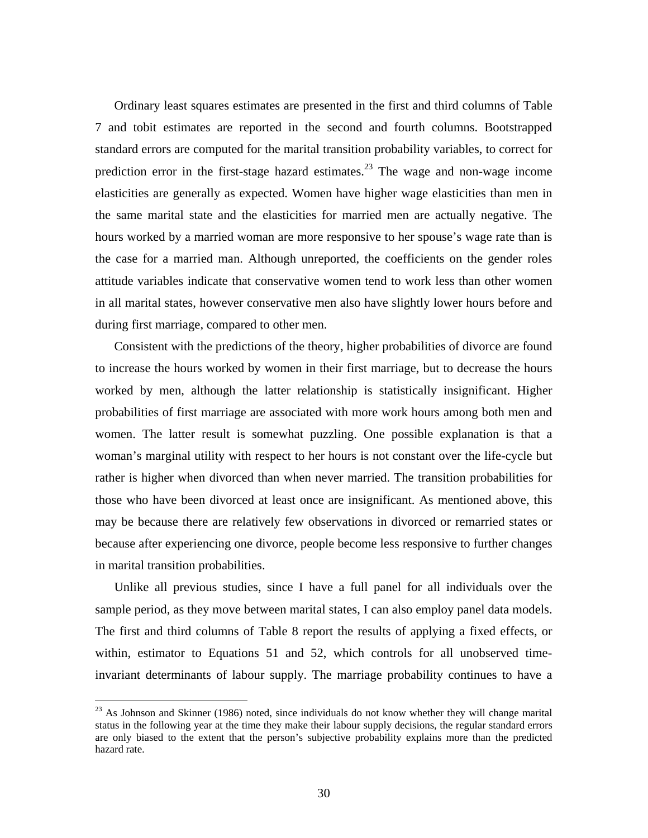Ordinary least squares estimates are presented in the first and third columns of Table 7 and tobit estimates are reported in the second and fourth columns. Bootstrapped standard errors are computed for the marital transition probability variables, to correct for prediction error in the first-stage hazard estimates.<sup>23</sup> The wage and non-wage income elasticities are generally as expected. Women have higher wage elasticities than men in the same marital state and the elasticities for married men are actually negative. The hours worked by a married woman are more responsive to her spouse's wage rate than is the case for a married man. Although unreported, the coefficients on the gender roles attitude variables indicate that conservative women tend to work less than other women in all marital states, however conservative men also have slightly lower hours before and during first marriage, compared to other men.

Consistent with the predictions of the theory, higher probabilities of divorce are found to increase the hours worked by women in their first marriage, but to decrease the hours worked by men, although the latter relationship is statistically insignificant. Higher probabilities of first marriage are associated with more work hours among both men and women. The latter result is somewhat puzzling. One possible explanation is that a woman's marginal utility with respect to her hours is not constant over the life-cycle but rather is higher when divorced than when never married. The transition probabilities for those who have been divorced at least once are insignificant. As mentioned above, this may be because there are relatively few observations in divorced or remarried states or because after experiencing one divorce, people become less responsive to further changes in marital transition probabilities.

Unlike all previous studies, since I have a full panel for all individuals over the sample period, as they move between marital states, I can also employ panel data models. The first and third columns of Table 8 report the results of applying a fixed effects, or within, estimator to Equations 51 and 52, which controls for all unobserved timeinvariant determinants of labour supply. The marriage probability continues to have a

<u>.</u>

<span id="page-32-0"></span><sup>&</sup>lt;sup>23</sup> As Johnson and Skinner (1986) noted, since individuals do not know whether they will change marital status in the following year at the time they make their labour supply decisions, the regular standard errors are only biased to the extent that the person's subjective probability explains more than the predicted hazard rate.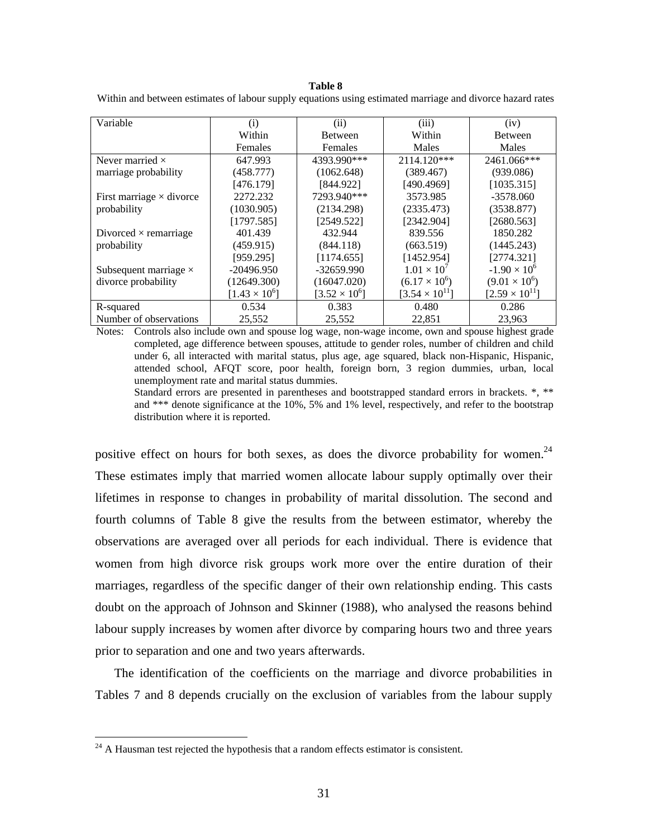#### **Table 8**

|  |  | Within and between estimates of labour supply equations using estimated marriage and divorce hazard rates |
|--|--|-----------------------------------------------------------------------------------------------------------|
|  |  |                                                                                                           |

| Variable                        | (i)                    | (ii)                 | (iii)                   | (iv)                    |
|---------------------------------|------------------------|----------------------|-------------------------|-------------------------|
|                                 | Within                 | <b>Between</b>       | Within                  | <b>Between</b>          |
|                                 | Females                | Females              | Males                   | Males                   |
| Never married $\times$          | 647.993                | 4393.990***          | $2114.120***$           | 2461.066***             |
| marriage probability            | (458.777)              | (1062.648)           | (389.467)               | (939.086)               |
|                                 | [476.179]              | [844.922]            | [490.4969]              | [1035.315]              |
| First marriage $\times$ divorce | 2272.232               | 7293.940***          | 3573.985                | $-3578.060$             |
| probability                     | (1030.905)             | (2134.298)           | (2335.473)              | (3538.877)              |
|                                 | [1797.585]             | [2549.522]           | [2342.904]              | [2680.563]              |
| Divorced $\times$ remarriage    | 401.439                | 432.944              | 839.556                 | 1850.282                |
| probability                     | (459.915)              | (844.118)            | (663.519)               | (1445.243)              |
|                                 | [959.295]              | [1174.655]           | [1452.954]              | [2774.321]              |
| Subsequent marriage $\times$    | $-20496.950$           | $-32659.990$         | $1.01 \times 10^{7}$    | $-1.90 \times 10^{6}$   |
| divorce probability             | (12649.300)            | (16047.020)          | $(6.17 \times 10^{6})$  | $(9.01 \times 10^6)$    |
|                                 | $[1.43 \times 10^{6}]$ | $[3.52 \times 10^6]$ | $[3.54 \times 10^{11}]$ | $[2.59 \times 10^{11}]$ |
| R-squared                       | 0.534                  | 0.383                | 0.480                   | 0.286                   |
| Number of observations          | 25,552                 | 25,552               | 22,851                  | 23,963                  |

Notes: Controls also include own and spouse log wage, non-wage income, own and spouse highest grade completed, age difference between spouses, attitude to gender roles, number of children and child under 6, all interacted with marital status, plus age, age squared, black non-Hispanic, Hispanic, attended school, AFQT score, poor health, foreign born, 3 region dummies, urban, local unemployment rate and marital status dummies.

Standard errors are presented in parentheses and bootstrapped standard errors in brackets. \*, \*\* and \*\*\* denote significance at the 10%, 5% and 1% level, respectively, and refer to the bootstrap distribution where it is reported.

positive effect on hours for both sexes, as does the divorce probability for women.<sup>24</sup> These estimates imply that married women allocate labour supply optimally over their lifetimes in response to changes in probability of marital dissolution. The second and fourth columns of Table 8 give the results from the between estimator, whereby the observations are averaged over all periods for each individual. There is evidence that women from high divorce risk groups work more over the entire duration of their marriages, regardless of the specific danger of their own relationship ending. This casts doubt on the approach of Johnson and Skinner (1988), who analysed the reasons behind labour supply increases by women after divorce by comparing hours two and three years prior to separation and one and two years afterwards.

The identification of the coefficients on the marriage and divorce probabilities in Tables 7 and 8 depends crucially on the exclusion of variables from the labour supply

<u>.</u>

<span id="page-33-0"></span> $24$  A Hausman test rejected the hypothesis that a random effects estimator is consistent.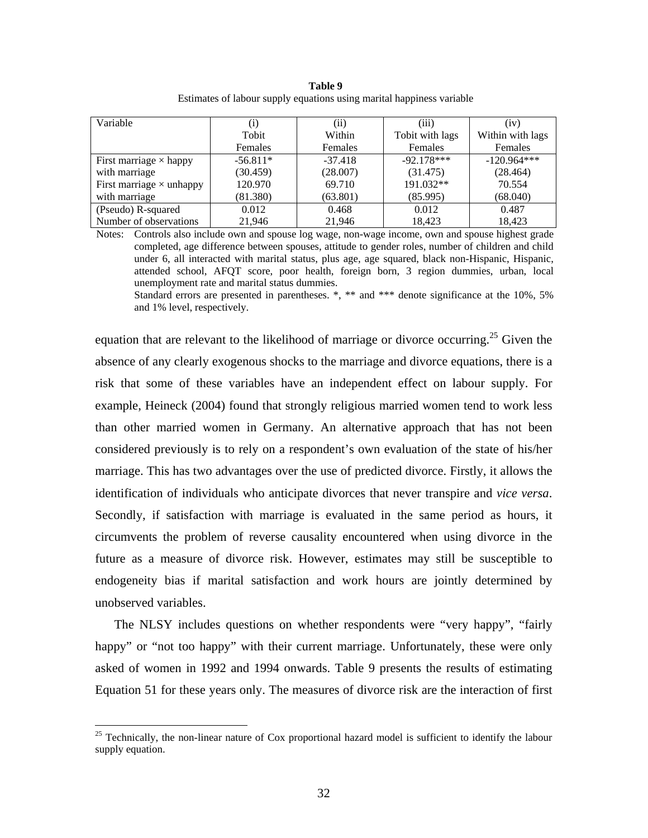| Table 9                                                               |  |
|-----------------------------------------------------------------------|--|
| Estimates of labour supply equations using marital happiness variable |  |

| Variable                        | (1)        | $\rm (ii)$ | (iii)           | (iv)             |
|---------------------------------|------------|------------|-----------------|------------------|
|                                 | Tobit      | Within     | Tobit with lags | Within with lags |
|                                 | Females    | Females    | Females         | Females          |
| First marriage $\times$ happy   | $-56.811*$ | $-37.418$  | $-92.178***$    | $-120.964***$    |
| with marriage                   | (30.459)   | (28.007)   | (31.475)        | (28.464)         |
| First marriage $\times$ unhappy | 120.970    | 69.710     | 191.032**       | 70.554           |
| with marriage                   | (81.380)   | (63.801)   | (85.995)        | (68.040)         |
| (Pseudo) R-squared              | 0.012      | 0.468      | 0.012           | 0.487            |
| Number of observations          | 21.946     | 21.946     | 18.423          | 18.423           |

Notes: Controls also include own and spouse log wage, non-wage income, own and spouse highest grade completed, age difference between spouses, attitude to gender roles, number of children and child under 6, all interacted with marital status, plus age, age squared, black non-Hispanic, Hispanic, attended school, AFQT score, poor health, foreign born, 3 region dummies, urban, local unemployment rate and marital status dummies.

Standard errors are presented in parentheses. \*, \*\* and \*\*\* denote significance at the 10%, 5% and 1% level, respectively.

equation that are relevant to the likelihood of marriage or divorce occurring.<sup>25</sup> Given the absence of any clearly exogenous shocks to the marriage and divorce equations, there is a risk that some of these variables have an independent effect on labour supply. For example, Heineck (2004) found that strongly religious married women tend to work less than other married women in Germany. An alternative approach that has not been considered previously is to rely on a respondent's own evaluation of the state of his/her marriage. This has two advantages over the use of predicted divorce. Firstly, it allows the identification of individuals who anticipate divorces that never transpire and *vice versa*. Secondly, if satisfaction with marriage is evaluated in the same period as hours, it circumvents the problem of reverse causality encountered when using divorce in the future as a measure of divorce risk. However, estimates may still be susceptible to endogeneity bias if marital satisfaction and work hours are jointly determined by unobserved variables.

The NLSY includes questions on whether respondents were "very happy", "fairly happy" or "not too happy" with their current marriage. Unfortunately, these were only asked of women in 1992 and 1994 onwards. Table 9 presents the results of estimating Equation 51 for these years only. The measures of divorce risk are the interaction of first

1

<span id="page-34-0"></span><sup>&</sup>lt;sup>25</sup> Technically, the non-linear nature of Cox proportional hazard model is sufficient to identify the labour supply equation.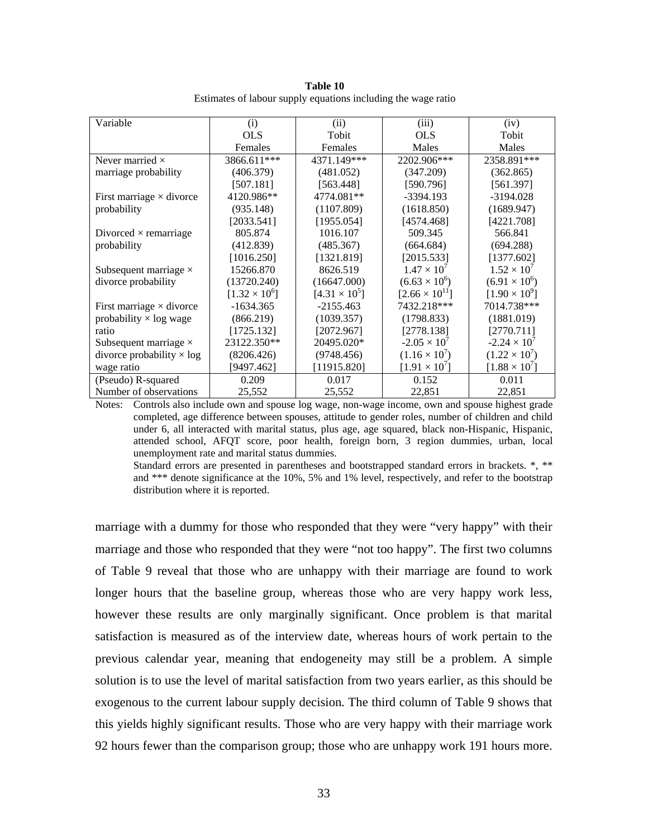| Table 10                                                      |  |  |  |  |  |
|---------------------------------------------------------------|--|--|--|--|--|
| Estimates of labour supply equations including the wage ratio |  |  |  |  |  |

| Variable                         | (i)                  | (ii)                 | (iii)                   | (iv)                   |
|----------------------------------|----------------------|----------------------|-------------------------|------------------------|
|                                  | <b>OLS</b>           | Tobit                | <b>OLS</b>              | Tobit                  |
|                                  | Females              | Females              | Males                   | Males                  |
| Never married $\times$           | 3866.611***          | 4371.149***          | 2202.906***             | 2358.891***            |
| marriage probability             | (406.379)            | (481.052)            | (347.209)               | (362.865)              |
|                                  | [507.181]            | [563.448]            | [590.796]               | [561.397]              |
| First marriage $\times$ divorce  | 4120.986**           | 4774.081**           | -3394.193               | $-3194.028$            |
| probability                      | (935.148)            | (1107.809)           | (1618.850)              | (1689.947)             |
|                                  | [2033.541]           | [1955.054]           | [4574.468]              | [4221.708]             |
| Divorced $\times$ remarriage     | 805.874              | 1016.107             | 509.345                 | 566.841                |
| probability                      | (412.839)            | (485.367)            | (664.684)               | (694.288)              |
|                                  | [1016.250]           | [1321.819]           | [2015.533]              | [1377.602]             |
| Subsequent marriage $\times$     | 15266.870            | 8626.519             | $1.47 \times 10^{7}$    | $1.52 \times 10^{7}$   |
| divorce probability              | (13720.240)          | (16647.000)          | $(6.63 \times 10^{6})$  | $(6.91 \times 10^6)$   |
|                                  | $[1.32 \times 10^6]$ | $[4.31 \times 10^5]$ | $[2.66 \times 10^{11}]$ | $[1.90 \times 10^{9}]$ |
| First marriage $\times$ divorce  | $-1634.365$          | $-2155.463$          | 7432.218***             | 7014.738***            |
| probability $\times$ log wage    | (866.219)            | (1039.357)           | (1798.833)              | (1881.019)             |
| ratio                            | [1725.132]           | [2072.967]           | [2778.138]              | [2770.711]             |
| Subsequent marriage $\times$     | 23122.350**          | 20495.020*           | $-2.05 \times 10^{7}$   | $-2.24 \times 10^{7}$  |
| divorce probability $\times$ log | (8206.426)           | (9748.456)           | $(1.16 \times 10^7)$    | $(1.22 \times 10^7)$   |
| wage ratio                       | [9497.462]           | [11915.820]          | $[1.91 \times 10^7]$    | $[1.88 \times 10^7]$   |
| (Pseudo) R-squared               | 0.209                | 0.017                | 0.152                   | 0.011                  |
| Number of observations           | 25,552               | 25,552               | 22,851                  | 22,851                 |

Notes: Controls also include own and spouse log wage, non-wage income, own and spouse highest grade completed, age difference between spouses, attitude to gender roles, number of children and child under 6, all interacted with marital status, plus age, age squared, black non-Hispanic, Hispanic, attended school, AFQT score, poor health, foreign born, 3 region dummies, urban, local unemployment rate and marital status dummies.

Standard errors are presented in parentheses and bootstrapped standard errors in brackets. \*, \*\* and \*\*\* denote significance at the 10%, 5% and 1% level, respectively, and refer to the bootstrap distribution where it is reported.

marriage with a dummy for those who responded that they were "very happy" with their marriage and those who responded that they were "not too happy". The first two columns of Table 9 reveal that those who are unhappy with their marriage are found to work longer hours that the baseline group, whereas those who are very happy work less, however these results are only marginally significant. Once problem is that marital satisfaction is measured as of the interview date, whereas hours of work pertain to the previous calendar year, meaning that endogeneity may still be a problem. A simple solution is to use the level of marital satisfaction from two years earlier, as this should be exogenous to the current labour supply decision. The third column of Table 9 shows that this yields highly significant results. Those who are very happy with their marriage work 92 hours fewer than the comparison group; those who are unhappy work 191 hours more.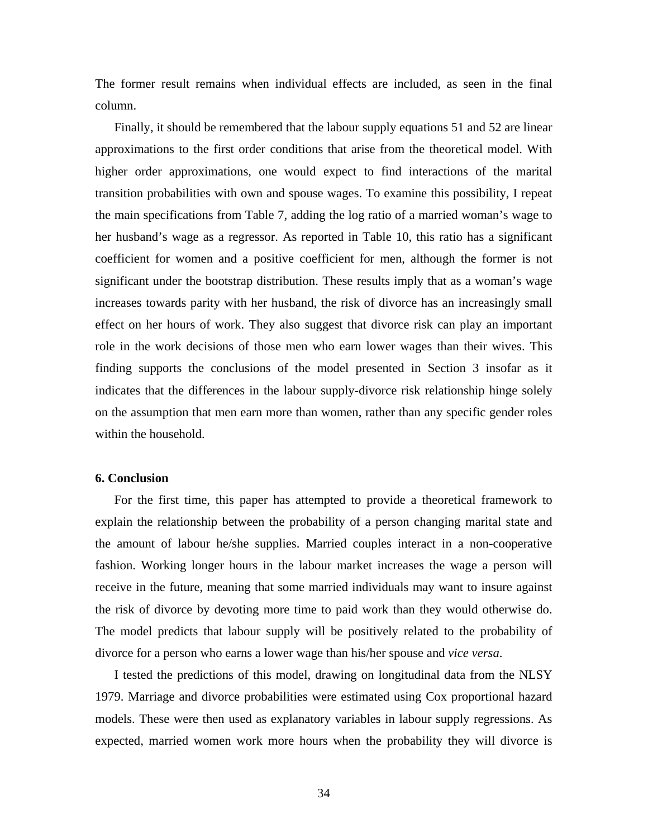The former result remains when individual effects are included, as seen in the final column.

Finally, it should be remembered that the labour supply equations 51 and 52 are linear approximations to the first order conditions that arise from the theoretical model. With higher order approximations, one would expect to find interactions of the marital transition probabilities with own and spouse wages. To examine this possibility, I repeat the main specifications from Table 7, adding the log ratio of a married woman's wage to her husband's wage as a regressor. As reported in Table 10, this ratio has a significant coefficient for women and a positive coefficient for men, although the former is not significant under the bootstrap distribution. These results imply that as a woman's wage increases towards parity with her husband, the risk of divorce has an increasingly small effect on her hours of work. They also suggest that divorce risk can play an important role in the work decisions of those men who earn lower wages than their wives. This finding supports the conclusions of the model presented in Section 3 insofar as it indicates that the differences in the labour supply-divorce risk relationship hinge solely on the assumption that men earn more than women, rather than any specific gender roles within the household.

#### **6. Conclusion**

For the first time, this paper has attempted to provide a theoretical framework to explain the relationship between the probability of a person changing marital state and the amount of labour he/she supplies. Married couples interact in a non-cooperative fashion. Working longer hours in the labour market increases the wage a person will receive in the future, meaning that some married individuals may want to insure against the risk of divorce by devoting more time to paid work than they would otherwise do. The model predicts that labour supply will be positively related to the probability of divorce for a person who earns a lower wage than his/her spouse and *vice versa*.

I tested the predictions of this model, drawing on longitudinal data from the NLSY 1979. Marriage and divorce probabilities were estimated using Cox proportional hazard models. These were then used as explanatory variables in labour supply regressions. As expected, married women work more hours when the probability they will divorce is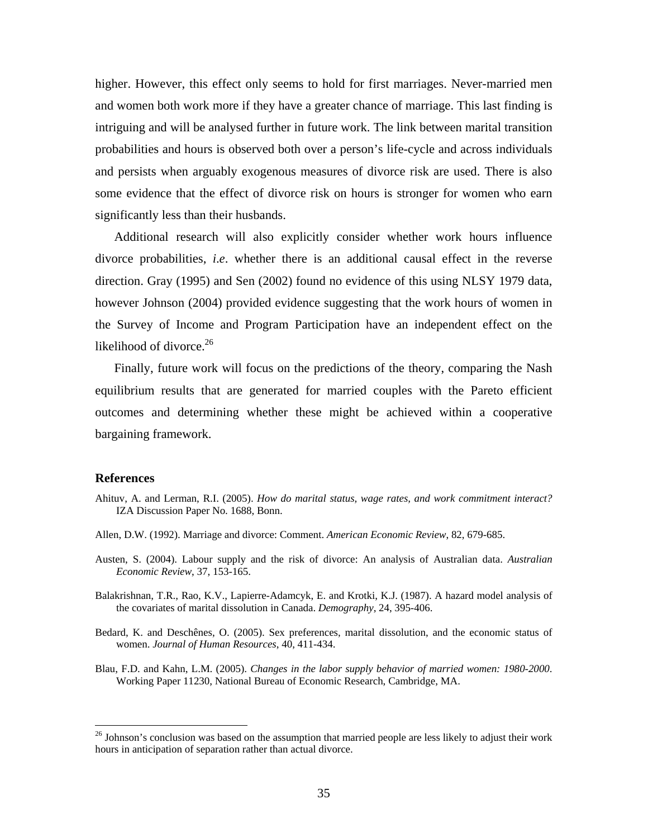higher. However, this effect only seems to hold for first marriages. Never-married men and women both work more if they have a greater chance of marriage. This last finding is intriguing and will be analysed further in future work. The link between marital transition probabilities and hours is observed both over a person's life-cycle and across individuals and persists when arguably exogenous measures of divorce risk are used. There is also some evidence that the effect of divorce risk on hours is stronger for women who earn significantly less than their husbands.

Additional research will also explicitly consider whether work hours influence divorce probabilities, *i*.*e*. whether there is an additional causal effect in the reverse direction. Gray (1995) and Sen (2002) found no evidence of this using NLSY 1979 data, however Johnson (2004) provided evidence suggesting that the work hours of women in the Survey of Income and Program Participation have an independent effect on the likelihood of divorce. $26$ 

Finally, future work will focus on the predictions of the theory, comparing the Nash equilibrium results that are generated for married couples with the Pareto efficient outcomes and determining whether these might be achieved within a cooperative bargaining framework.

#### **References**

 $\overline{a}$ 

- Ahituv, A. and Lerman, R.I. (2005). *How do marital status, wage rates, and work commitment interact?* IZA Discussion Paper No. 1688, Bonn.
- Allen, D.W. (1992). Marriage and divorce: Comment. *American Economic Review*, 82, 679-685.
- Austen, S. (2004). Labour supply and the risk of divorce: An analysis of Australian data. *Australian Economic Review*, 37, 153-165.
- Balakrishnan, T.R., Rao, K.V., Lapierre-Adamcyk, E. and Krotki, K.J. (1987). A hazard model analysis of the covariates of marital dissolution in Canada. *Demography*, 24, 395-406.
- Bedard, K. and Deschênes, O. (2005). Sex preferences, marital dissolution, and the economic status of women. *Journal of Human Resources*, 40, 411-434.
- Blau, F.D. and Kahn, L.M. (2005). *Changes in the labor supply behavior of married women: 1980-2000*. Working Paper 11230, National Bureau of Economic Research, Cambridge, MA.

<span id="page-37-0"></span><sup>&</sup>lt;sup>26</sup> Johnson's conclusion was based on the assumption that married people are less likely to adjust their work hours in anticipation of separation rather than actual divorce.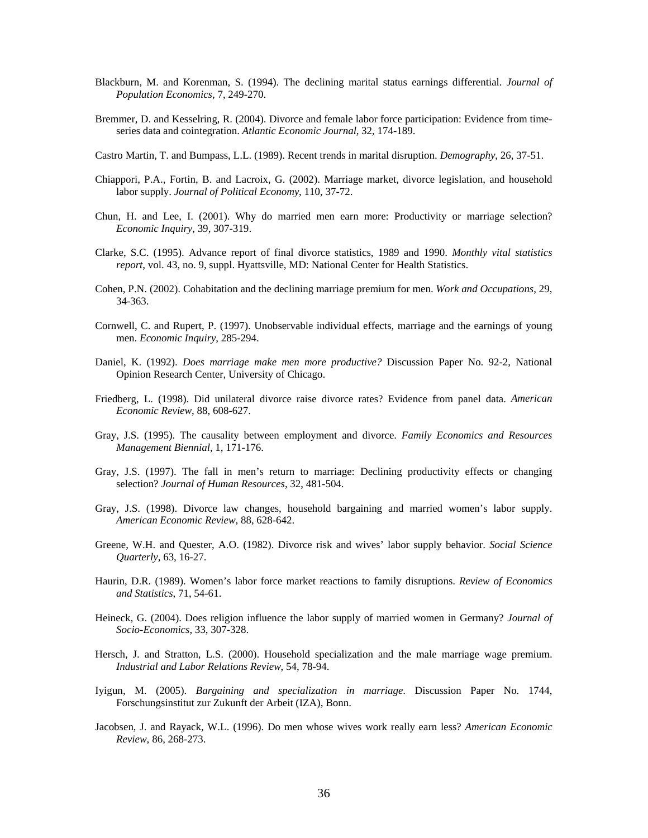- Blackburn, M. and Korenman, S. (1994). The declining marital status earnings differential. *Journal of Population Economics*, 7, 249-270.
- Bremmer, D. and Kesselring, R. (2004). Divorce and female labor force participation: Evidence from timeseries data and cointegration. *Atlantic Economic Journal*, 32, 174-189.
- Castro Martin, T. and Bumpass, L.L. (1989). Recent trends in marital disruption. *Demography*, 26, 37-51.
- Chiappori, P.A., Fortin, B. and Lacroix, G. (2002). Marriage market, divorce legislation, and household labor supply. *Journal of Political Economy*, 110, 37-72.
- Chun, H. and Lee, I. (2001). Why do married men earn more: Productivity or marriage selection? *Economic Inquiry*, 39, 307-319.
- Clarke, S.C. (1995). Advance report of final divorce statistics, 1989 and 1990. *Monthly vital statistics report*, vol. 43, no. 9, suppl. Hyattsville, MD: National Center for Health Statistics.
- Cohen, P.N. (2002). Cohabitation and the declining marriage premium for men. *Work and Occupations*, 29, 34-363.
- Cornwell, C. and Rupert, P. (1997). Unobservable individual effects, marriage and the earnings of young men. *Economic Inquiry*, 285-294.
- Daniel, K. (1992). *Does marriage make men more productive?* Discussion Paper No. 92-2, National Opinion Research Center, University of Chicago.
- Friedberg, L. (1998). Did unilateral divorce raise divorce rates? Evidence from panel data. *American Economic Review*, 88, 608-627.
- Gray, J.S. (1995). The causality between employment and divorce. *Family Economics and Resources Management Biennial*, 1, 171-176.
- Gray, J.S. (1997). The fall in men's return to marriage: Declining productivity effects or changing selection? *Journal of Human Resources*, 32, 481-504.
- Gray, J.S. (1998). Divorce law changes, household bargaining and married women's labor supply. *American Economic Review*, 88, 628-642.
- Greene, W.H. and Quester, A.O. (1982). Divorce risk and wives' labor supply behavior. *Social Science Quarterly*, 63, 16-27.
- Haurin, D.R. (1989). Women's labor force market reactions to family disruptions. *Review of Economics and Statistics*, 71, 54-61.
- Heineck, G. (2004). Does religion influence the labor supply of married women in Germany? *Journal of Socio-Economics*, 33, 307-328.
- Hersch, J. and Stratton, L.S. (2000). Household specialization and the male marriage wage premium. *Industrial and Labor Relations Review*, 54, 78-94.
- Iyigun, M. (2005). *Bargaining and specialization in marriage*. Discussion Paper No. 1744, Forschungsinstitut zur Zukunft der Arbeit (IZA), Bonn.
- Jacobsen, J. and Rayack, W.L. (1996). Do men whose wives work really earn less? *American Economic Review*, 86, 268-273.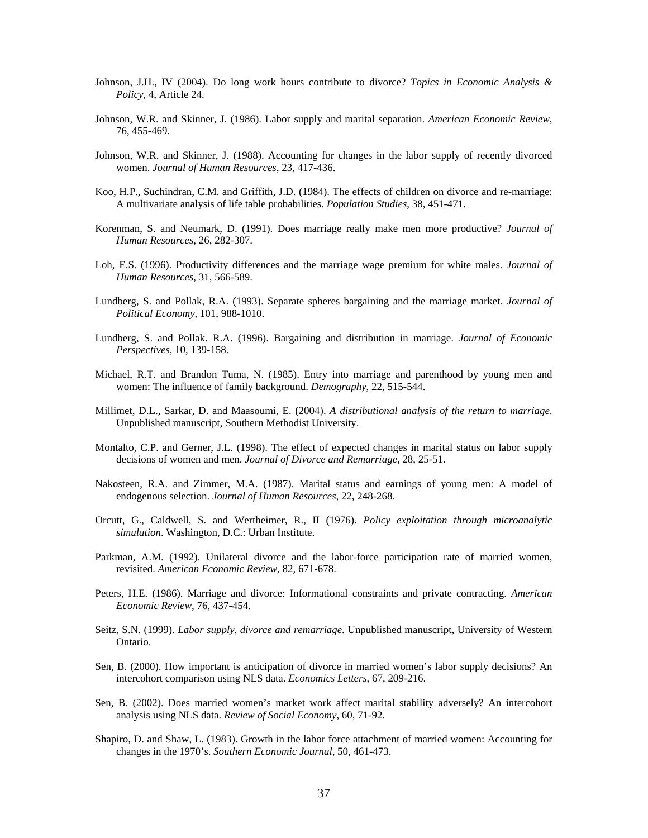- Johnson, J.H., IV (2004). Do long work hours contribute to divorce? *Topics in Economic Analysis & Policy*, 4, Article 24.
- Johnson, W.R. and Skinner, J. (1986). Labor supply and marital separation. *American Economic Review*, 76, 455-469.
- Johnson, W.R. and Skinner, J. (1988). Accounting for changes in the labor supply of recently divorced women. *Journal of Human Resources*, 23, 417-436.
- Koo, H.P., Suchindran, C.M. and Griffith, J.D. (1984). The effects of children on divorce and re-marriage: A multivariate analysis of life table probabilities. *Population Studies*, 38, 451-471.
- Korenman, S. and Neumark, D. (1991). Does marriage really make men more productive? *Journal of Human Resources*, 26, 282-307.
- Loh, E.S. (1996). Productivity differences and the marriage wage premium for white males. *Journal of Human Resources*, 31, 566-589.
- Lundberg, S. and Pollak, R.A. (1993). Separate spheres bargaining and the marriage market. *Journal of Political Economy*, 101, 988-1010.
- Lundberg, S. and Pollak. R.A. (1996). Bargaining and distribution in marriage. *Journal of Economic Perspectives*, 10, 139-158.
- Michael, R.T. and Brandon Tuma, N. (1985). Entry into marriage and parenthood by young men and women: The influence of family background. *Demography*, 22, 515-544.
- Millimet, D.L., Sarkar, D. and Maasoumi, E. (2004). *A distributional analysis of the return to marriage*. Unpublished manuscript, Southern Methodist University.
- Montalto, C.P. and Gerner, J.L. (1998). The effect of expected changes in marital status on labor supply decisions of women and men. *Journal of Divorce and Remarriage*, 28, 25-51.
- Nakosteen, R.A. and Zimmer, M.A. (1987). Marital status and earnings of young men: A model of endogenous selection. *Journal of Human Resources*, 22, 248-268.
- Orcutt, G., Caldwell, S. and Wertheimer, R., II (1976). *Policy exploitation through microanalytic simulation*. Washington, D.C.: Urban Institute.
- Parkman, A.M. (1992). Unilateral divorce and the labor-force participation rate of married women, revisited. *American Economic Review*, 82, 671-678.
- Peters, H.E. (1986). Marriage and divorce: Informational constraints and private contracting. *American Economic Review*, 76, 437-454.
- Seitz, S.N. (1999). *Labor supply, divorce and remarriage*. Unpublished manuscript, University of Western Ontario.
- Sen, B. (2000). How important is anticipation of divorce in married women's labor supply decisions? An intercohort comparison using NLS data. *Economics Letters*, 67, 209-216.
- Sen, B. (2002). Does married women's market work affect marital stability adversely? An intercohort analysis using NLS data. *Review of Social Economy*, 60, 71-92.
- Shapiro, D. and Shaw, L. (1983). Growth in the labor force attachment of married women: Accounting for changes in the 1970's. *Southern Economic Journal*, 50, 461-473.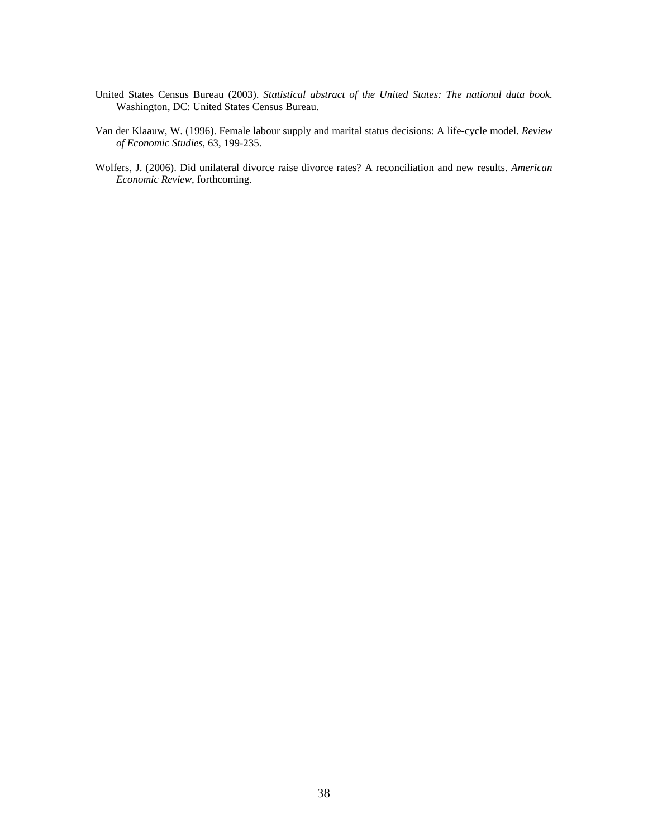- United States Census Bureau (2003). *Statistical abstract of the United States: The national data book*. Washington, DC: United States Census Bureau.
- Van der Klaauw, W. (1996). Female labour supply and marital status decisions: A life-cycle model. *Review of Economic Studies*, 63, 199-235.
- Wolfers, J. (2006). Did unilateral divorce raise divorce rates? A reconciliation and new results. *American Economic Review*, forthcoming.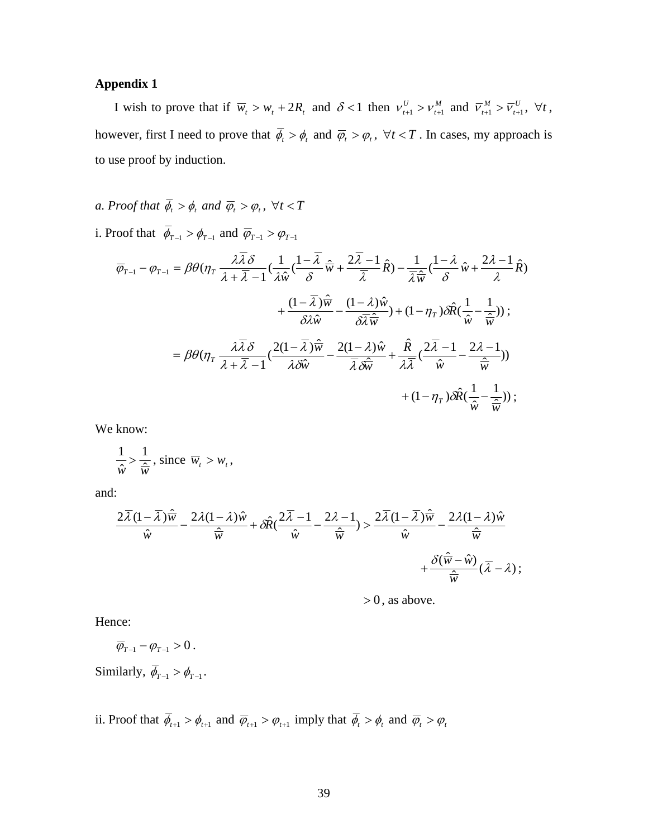#### **Appendix 1**

I wish to prove that if  $\overline{w}_t > w_t + 2R_t$  and  $\delta < 1$  then  $v_{t+1}^U > v_{t+1}^M$  and  $\overline{v}_{t+1}^M > \overline{v}_{t+1}^U$ ,  $\forall t$ , however, first I need to prove that  $\overline{\phi}_t > \phi_t$  and  $\overline{\phi}_t > \phi_t$ ,  $\forall t < T$ . In cases, my approach is to use proof by induction.

- *a. Proof that*  $\overline{\phi}_t > \phi_t$  *and*  $\overline{\phi}_t > \phi_t$ ,  $\forall t < T$
- i. Proof that  $\overline{\phi}_{T-1} > \phi_{T-1}$  and  $\overline{\phi}_{T-1} > \phi_{T-1}$

$$
\overline{\varphi}_{T-1} - \varphi_{T-1} = \beta \theta (\eta_T \frac{\lambda \overline{\lambda} \delta}{\lambda + \overline{\lambda} - 1} (\frac{1}{\lambda \hat{w}} (\frac{1 - \overline{\lambda}}{\delta} \hat{\overline{w}} + \frac{2\overline{\lambda} - 1}{\overline{\lambda}} \hat{R}) - \frac{1}{\overline{\lambda} \hat{\overline{w}}} (\frac{1 - \lambda}{\delta} \hat{w} + \frac{2\lambda - 1}{\lambda} \hat{R})
$$
  
+ 
$$
\frac{(1 - \overline{\lambda}) \hat{\overline{w}}}{\delta \lambda \hat{w}} - \frac{(1 - \lambda) \hat{w}}{\delta \overline{\lambda} \hat{\overline{w}}} + (1 - \eta_T) \delta \hat{R} (\frac{1}{\hat{w}} - \frac{1}{\overline{\hat{w}}}));
$$
  
= 
$$
\beta \theta (\eta_T \frac{\lambda \overline{\lambda} \delta}{\lambda + \overline{\lambda} - 1} (\frac{2(1 - \overline{\lambda}) \hat{\overline{w}}}{\lambda \delta \hat{w}} - \frac{2(1 - \lambda) \hat{w}}{\overline{\lambda} \delta \hat{\overline{w}}} + \frac{\hat{R}}{\lambda \overline{\lambda}} (\frac{2\overline{\lambda} - 1}{\hat{w}} - \frac{2\lambda - 1}{\overline{\hat{w}}}))
$$
  
+ 
$$
(1 - \eta_T) \delta \hat{R} (\frac{1}{\hat{w}} - \frac{1}{\hat{w}}));
$$

We know:

$$
\frac{1}{\hat{w}} > \frac{1}{\hat{w}}, \text{ since } \overline{w}_t > w_t,
$$

and:

$$
\frac{2\overline{\lambda}(1-\overline{\lambda})\hat{\overline{w}}}{\hat{w}} - \frac{2\lambda(1-\lambda)\hat{w}}{\overline{\hat{w}}} + \delta \hat{R}(\frac{2\overline{\lambda}-1}{\hat{w}} - \frac{2\lambda-1}{\overline{\hat{w}}}) > \frac{2\overline{\lambda}(1-\overline{\lambda})\hat{\overline{w}}}{\hat{w}} - \frac{2\lambda(1-\lambda)\hat{w}}{\overline{\hat{w}}} + \frac{\delta(\overline{\hat{w}}-\hat{w})}{\overline{\hat{w}}}(\overline{\lambda}-\lambda);
$$

 $> 0$ , as above.

Hence:

$$
\overline{\varphi}_{T-1}-\varphi_{T-1}>0.
$$

Similarly,  $\overline{\phi}_{T-1} > \phi_{T-1}$ .

ii. Proof that  $\overline{\phi}_{t+1} > \phi_{t+1}$  and  $\overline{\phi}_{t+1} > \phi_{t+1}$  imply that  $\overline{\phi}_t > \phi_t$  and  $\overline{\phi}_t > \phi_t$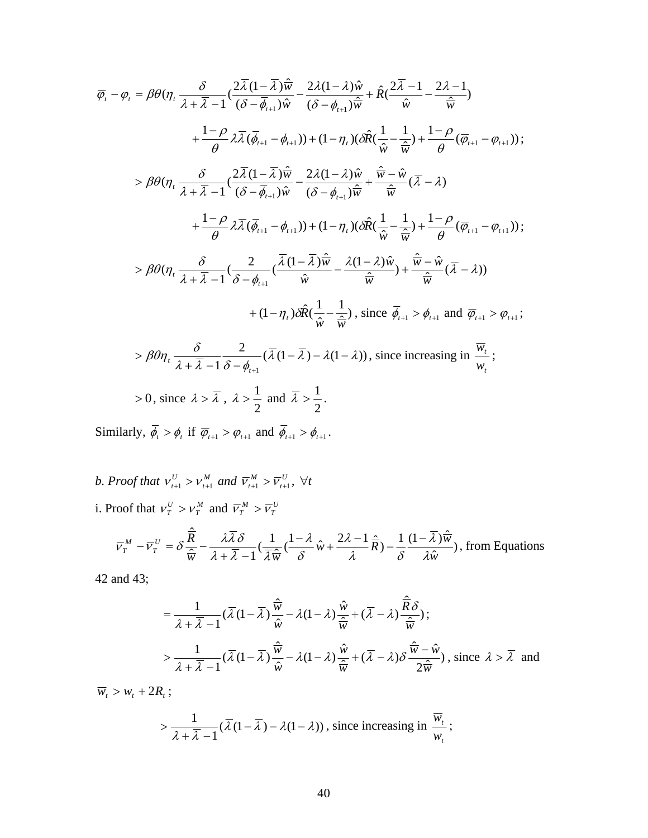$$
\overline{\varphi}_{t} - \varphi_{t} = \beta \theta (\eta_{t} \frac{\delta}{\lambda + \overline{\lambda} - 1} (\frac{2\overline{\lambda}(1 - \overline{\lambda}) \hat{w}}{(\delta - \overline{\phi}_{t+1}) \hat{w}} - \frac{2\lambda(1 - \lambda) \hat{w}}{(\delta - \phi_{t+1}) \hat{w}} + \hat{R} (\frac{2\overline{\lambda} - 1}{\hat{w}} - \frac{2\lambda - 1}{\hat{w}})
$$
  
+  $\frac{1 - \rho}{\theta} \lambda \overline{\lambda} (\overline{\phi}_{t+1} - \phi_{t+1}) + (1 - \eta_{t}) (\delta \hat{R} (\frac{1}{\hat{w}} - \frac{1}{\hat{w}}) + \frac{1 - \rho}{\theta} (\overline{\phi}_{t+1} - \phi_{t+1}));$   
>  $\beta \theta (\eta_{t} \frac{\delta}{\lambda + \overline{\lambda} - 1} (\frac{2\overline{\lambda}(1 - \overline{\lambda}) \hat{w}}{(\delta - \overline{\phi}_{t+1}) \hat{w}} - \frac{2\lambda(1 - \lambda) \hat{w}}{(\delta - \phi_{t+1}) \hat{w}} + \frac{\hat{w} - \hat{w}}{\hat{w}} (\overline{\lambda} - \lambda)$   
+  $\frac{1 - \rho}{\theta} \lambda \overline{\lambda} (\overline{\phi}_{t+1} - \phi_{t+1}) + (1 - \eta_{t}) (\delta \hat{R} (\frac{1}{\hat{w}} - \frac{1}{\hat{w}}) + \frac{1 - \rho}{\theta} (\overline{\phi}_{t+1} - \phi_{t+1}));$   
>  $\beta \theta (\eta_{t} \frac{\delta}{\lambda + \overline{\lambda} - 1} (\frac{2}{\delta - \phi_{t+1}} (\overline{\lambda} (\frac{\overline{\lambda}(1 - \overline{\lambda}) \hat{w}}{\hat{w}} - \frac{\lambda(1 - \lambda) \hat{w}}{\hat{w}}) + \frac{\hat{w} - \hat{w}}{\hat{w}} (\overline{\lambda} - \lambda))$   
+  $(1 - \eta_{t}) \delta \hat{R} (\frac{1}{\hat{w}} - \frac{1}{\hat{w}}), \text{ since } \overline{\phi}_{t+1} > \phi_{t+1} \text{ and } \overline{\phi}_{t+1} > \phi_{t+1};$   
>  $\beta \theta \eta$ 

*b. Proof that*  $v_{t+1}^U > v_{t+1}^M$  *and*  $\overline{v}_{t+1}^M > \overline{v}_{t+1}^U$ ,  $\forall t$ i. Proof that  $v_T^U > v_T^M$  and  $\overline{v}_T^M > \overline{v}_T^U$ 

$$
\overline{v}_{T}^{M} - \overline{v}_{T}^{U} = \delta \frac{\hat{\overline{R}}}{\hat{\overline{w}}} - \frac{\lambda \overline{\lambda} \delta}{\lambda + \overline{\lambda} - 1} \left( \frac{1 - \lambda}{\overline{\lambda} \hat{\overline{w}}} \left( \frac{1 - \lambda}{\delta} \hat{w} + \frac{2\lambda - 1}{\lambda} \hat{\overline{R}} \right) - \frac{1}{\delta} \frac{(1 - \overline{\lambda}) \hat{\overline{w}}}{\lambda \hat{w}} \right), \text{ from Equations}
$$

42 and 43;

$$
= \frac{1}{\lambda + \overline{\lambda} - 1} (\overline{\lambda} (1 - \overline{\lambda}) \frac{\hat{\overline{w}}}{\hat{\overline{w}}} - \lambda (1 - \lambda) \frac{\hat{\overline{w}}}{\hat{\overline{w}}} + (\overline{\lambda} - \lambda) \frac{\hat{\overline{R}} \delta}{\hat{\overline{w}}});
$$
  
> 
$$
\frac{1}{\lambda + \overline{\lambda} - 1} (\overline{\lambda} (1 - \overline{\lambda}) \frac{\hat{\overline{w}}}{\hat{\overline{w}}} - \lambda (1 - \lambda) \frac{\hat{\overline{w}}}{\hat{\overline{w}}} + (\overline{\lambda} - \lambda) \delta \frac{\hat{\overline{w}} - \hat{\overline{w}}}{2 \hat{\overline{w}}}), \text{ since } \lambda > \overline{\lambda} \text{ and}
$$

 $\overline{w}_t > w_t + 2R_t$ ;

$$
> \frac{1}{\lambda + \overline{\lambda} - 1} (\overline{\lambda} (1 - \overline{\lambda}) - \lambda (1 - \lambda)),
$$
 since increasing in  $\frac{\overline{w_t}}{w_t}$ ;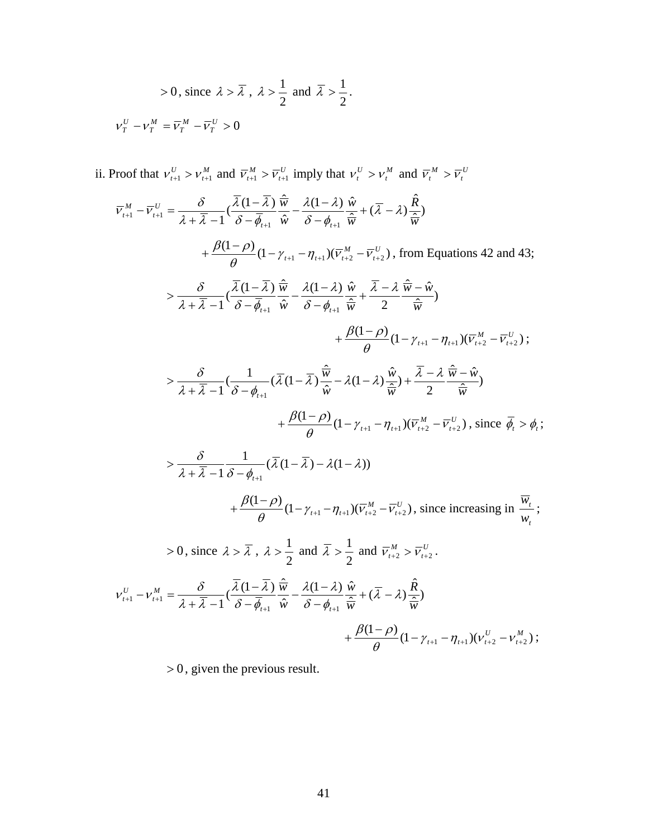$$
> 0, \text{ since } \lambda > \overline{\lambda} , \lambda > \frac{1}{2} \text{ and } \overline{\lambda} > \frac{1}{2}.
$$
  

$$
v_T^U - v_T^M = \overline{v}_T^M - \overline{v}_T^U > 0
$$

ii. Proof that  $v_{t+1}^U > v_{t+1}^M$  and  $\overline{v}_{t+1}^M > \overline{v}_{t+1}^U$  imply that  $v_t^U > v_t^M$  and  $\overline{v}_t^M > \overline{v}_t^U$ 

 $\frac{(1-\lambda)}{\hat{i} - \phi_{\text{old}}} \frac{\hat{w}}{\hat{w}} + (\overline{\lambda} - \lambda) \frac{\hat{R}}{\hat{w}}$ ˆ  $\left(\frac{\overline{\lambda}(1-\overline{\lambda})}{2}\right) \frac{\hat{\overline{n}}}{\overline{n}}$  $\frac{1}{\lambda_1} - \frac{\nu_{t+1}}{\nu_t} - \frac{1}{\lambda + \overline{\lambda}} - \frac{1}{\lambda} \left( \frac{\partial}{\partial} - \overline{\phi}_{t+1} \right) \frac{\partial}{\partial} - \overline{\phi}_{t+1} \frac{\partial}{\partial} + (\lambda - \lambda) \frac{\partial}{\partial} \overline{\phi}_{t+1}$ *R w w w w*  $\mu_{t+1}$  *w*  $\sigma$   $\varphi_t$ *U t*  $\overline{V}_{t+1}^M - \overline{V}_{t+1}^U = \frac{\partial}{\partial_t + \overline{\partial_t} - 1} \left( \frac{\partial (1 - \overline{\partial_t})}{\partial_t - \overline{\phi_{t+1}}} \frac{W}{\hat{W}} - \frac{\partial (1 - \overline{\partial_t})}{\partial_t - \phi_{t+1}} \frac{W}{\hat{W}} + (\overline{\partial_t} - \overline{\partial_t}) \right)$  $\lambda$ (1 —  $\lambda$ `  $\delta$  –  $\phi_{_{t}}$  $\lambda$  (1 –  $\lambda$  $\lambda + \lambda$  $\overline{V}_{t+1}^{M} - \overline{V}_{t+1}^{U} = \frac{\delta}{\lambda + \overline{\lambda} - 1} \left( \frac{\overline{\lambda} (1 - \overline{\lambda})}{\delta - \overline{\phi}_{t+1}} \frac{\overline{\hat{w}}}{\hat{w}} - \frac{\lambda (1 - \lambda)}{\delta - \phi_{t+1}} \frac{\hat{w}}{\hat{w}} + (\overline{\lambda} - \overline{\phi}_{t+1}) \frac{\overline{\hat{w}}}{\hat{w}} \right)$  $_{+1} - \nu$ <sub>t+</sub>  $+\frac{\beta(1-\rho)}{2}(1-\gamma_{t+1}-\eta_{t+1})(\overline{v}_{t+2}^{M}-\overline{v}_{t+2}^{U})$ *U*  $+\frac{\beta(1-\rho)}{\theta}(1-\gamma_{t+1}-\eta_{t+1})(\overline{v}_{t+2}^{M}-\overline{v}_{t+2}^{U})$ , from Equations 42 and 43;  $> \frac{\partial}{\partial + \overline{\lambda} - 1} \left( \frac{\lambda (1 - \lambda)}{\delta - \overline{\phi}_{\text{old}}} \frac{\overline{w}}{\hat{w}} - \frac{\lambda (1 - \lambda)}{\delta - \phi_{\text{old}}} \frac{\overline{w}}{\hat{w}} + \frac{\lambda - \lambda}{2} \frac{\overline{w}}{\hat{w}} \frac{\overline{w}}{\hat{w}} \right)$  $\hat{\overline{\psi}}$  –  $\hat{\mathfrak{n}}$  $\hat{\overline{w}}$  2  $(1 - \lambda)$   $\hat{u}$  $\hat{\lambda}$  $\left(\frac{\overline{\lambda}(1-\overline{\lambda})}{2}\right)$  $\frac{\widehat{\overline{n}}}{\overline{n}}$ 1  $\delta - \phi_{t+1}$  *ŵ*  $\delta - \phi_{t+1}$   $\hat{\overline{w}}$  2  $\hat{\overline{w}}$  $\hat{\overline{w}} - \hat{w}$ *w w w w*  $\phi>\frac{\delta}{\lambda+\overline{\lambda}-1}(\frac{\overline{\lambda}\,(1-\overline{\lambda}\,)}{\delta-\overline{\phi}_{t+1}}\,\frac{\overline{\hat{w}}}{\hat{w}}-\frac{\lambda(1-\lambda)}{\delta-\phi_{t+1}}\,\frac{\hat{w}}{\hat{w}}+\frac{\overline{\lambda}-\lambda}{2}\,\frac{\overline{\hat{w}}-\overline{\hat{w}}}{\hat{\overline{w}}})$  $\lambda - \lambda$  $\delta - \phi$  $\lambda(1-\lambda)$  $\delta - \phi$  $\lambda$  (1 –  $\lambda$  $\lambda + \lambda$ δ  $+\frac{\beta(1-\rho)}{2}(1-\gamma_{t+1}-\eta_{t+1})(\overline{v}_{t+2}^{M}-\overline{v}_{t+2}^{U})$ *U*  $+\frac{\beta(1-\rho)}{\theta}(1-\gamma_{t+1}-\eta_{t+1})(\overline{v}_{t+2}^{M}-\overline{v}_{t+2}^{U})$ ;  $> \frac{\delta}{\lambda + \overline{\lambda} - 1} \left( \frac{1}{\delta - \phi_{\text{out}}} (\lambda (1 - \lambda) \frac{\theta}{\hat{\mu}} - \lambda (1 - \lambda) \frac{\theta}{\hat{\mu}} \right) + \frac{\lambda}{2} \frac{\lambda \phi}{\hat{\mu}} \frac{\hat{\mu}}{\hat{\mu}})$  $\hat{\overline{\pi}}$  –  $\hat{\mathfrak{n}}$  $\frac{1}{(\delta-\phi_{i+1})}(\overline{\lambda}(1-\overline{\lambda})\frac{\hat{\overline{w}}}{\hat{w}}-\lambda(1-\lambda)\frac{\hat{w}}{\hat{w}})+\frac{\overline{\lambda}-\phi_{i}}{2}$  $1 \delta - \phi_{t+1}$   $\hat{w}$   $\frac{\partial}{\partial x}$   $1 \delta - \phi_{t+1}$  $\hat{\overline{w}} - \hat{w}$ *w w w w t*  $> \frac{\delta}{\lambda+\overline{\lambda}-1}(\frac{1}{\delta-\phi_{_{t+1}}}\left(\overline{\lambda}\left(1-\overline{\lambda}\right)\frac{\overline{\hat{w}}}{\hat{w}} -\lambda(1-\lambda)\frac{\hat{w}}{\hat{w}}\right) + \frac{\lambda-\lambda}{2}\frac{\overline{\hat{w}}-\overline{\hat{w}}}{\overline{\hat{w}}}$  $\overline{\lambda}(1-\overline{\lambda}) \frac{\overline{w}}{w} - \lambda(1-\lambda) \frac{\hat{w}}{w} + \frac{\lambda-\lambda}{w}$  $\lambda + \lambda - 1 \hat{\delta} - \phi_{\mu}$ δ  $+\frac{\beta(1-\rho)}{a}(1-\gamma_{t+1}-\eta_{t+1})(\overline{v}_{t+2}^{M}-\overline{v}_{t+2}^{U})$ *U*  $+\frac{\beta(1-\rho)}{\theta}(1-\gamma_{t+1}-\eta_{t+1})(\overline{v}_{t+2}^{M}-\overline{v}_{t+2}^{U})$ , since  $\overline{\phi}_{t} > \phi_{t}$ ;  $> \frac{\delta}{\sqrt{1 - \bar{\lambda}} \cdot 1} \cdot \frac{1}{\sqrt{\lambda}} (1 - \bar{\lambda}) - \lambda (1 - \lambda))$  $1 \delta - \phi_{t+1}$  $\lambda$  (1 –  $\lambda$  ) –  $\lambda$ (1 –  $\lambda$ `  $>\frac{\delta}{\lambda+\overline{\lambda}-1}\frac{1}{\delta-\phi_{_{t+1}}}(\overline{\lambda}(1-\overline{\lambda})-\lambda(1-\overline{\lambda}))$  $+\frac{\beta(1-\rho)}{2}(1-\gamma_{t+1}-\eta_{t+1})(\overline{V}_{t+2}^{M}-\overline{V}_{t+2}^{U})$ *U*  $+\frac{\beta(1-\rho)}{\theta}(1-\gamma_{t+1}-\eta_{t+1})(\overline{v}_{t+2}^M-\overline{v}_{t+2}^U)$ , since increasing in  $\frac{\overline{w}_t}{w_t}$ *t w w* ;  $> 0$ , since  $\lambda > \overline{\lambda}$ ,  $\lambda > \frac{1}{2}$  and 2  $\overline{\lambda} > \frac{1}{2}$  and  $\overline{v}_{t+2}^M > \overline{v}_{t+2}^U$ .  $\frac{(1-\lambda)}{\hat{i} - \phi_{\text{out}}} \frac{\hat{w}}{\hat{w}} + (\overline{\lambda} - \lambda) \frac{\hat{R}}{\hat{w}}$  $\hat{\lambda}$  $\left(\frac{\overline{\lambda}(1-\overline{\lambda})}{2\overline{\lambda}}\right)^{\frac{2}{11}}$  $\frac{1}{\hbar}$   $\frac{1}{\hbar}$   $\frac{1}{\hbar}$   $\frac{1}{\hbar}$   $\frac{1}{\hbar}$   $\frac{\partial}{\partial \theta_{i+1}}$   $\frac{\partial}{\partial \theta_{i}}$   $\frac{\partial}{\partial \theta_{i+1}}$   $\frac{\partial}{\partial \theta_{i}}$   $\frac{\partial}{\partial \theta_{i}}$   $\frac{\partial}{\partial \theta_{i}}$ *R w w w M*  $\delta$   $\lambda(1-\lambda)\stackrel{\frown}{w}$  $\psi_{t+1}$  *w*  $\psi_t$ *t*  $U_{t+1} = V_{t+1}^{M} = \frac{\partial}{\partial \lambda + \overline{\partial \lambda}} (1 - \overline{\phi}) \frac{\partial}{\partial \lambda} \frac{\partial}{\partial \overline{\phi}} + \frac{\partial (1 - \overline{\lambda})}{\partial \lambda} \frac{\partial}{\partial \overline{\phi}} + (\overline{\lambda} - \overline{\lambda})$  $\lambda$ (1 —  $\lambda^{\cdot}$  $\delta - \phi$  $\lambda$  (1  $\lambda$  $\lambda + \lambda$  $V_{t+1}^U - V_{t+1}^M = \frac{\delta}{\lambda + \overline{\lambda} - 1} \left( \frac{\lambda (1 - \lambda)}{\delta - \overline{\phi}_{t+1}} \frac{\overline{\hat{w}}}{\hat{w}} - \frac{\lambda (1 - \lambda)}{\delta - \phi_{t+1}} \frac{\hat{w}}{\hat{w}} + (\overline{\lambda} - \overline{\phi}_{t+1}) \right)$  $+1$   $\qquad$   $t+$  $+\frac{\beta(1-\rho)}{2}(1-\gamma_{t+1}-\eta_{t+1})(v_{t+2}^U-v_{t+2}^M)$ *M*  $+\frac{\beta(1-\rho)}{\theta}(1-\gamma_{t+1}-\eta_{t+1})(v_{t+2}^U-v_{t+2}^M);$ 

 $> 0$ , given the previous result.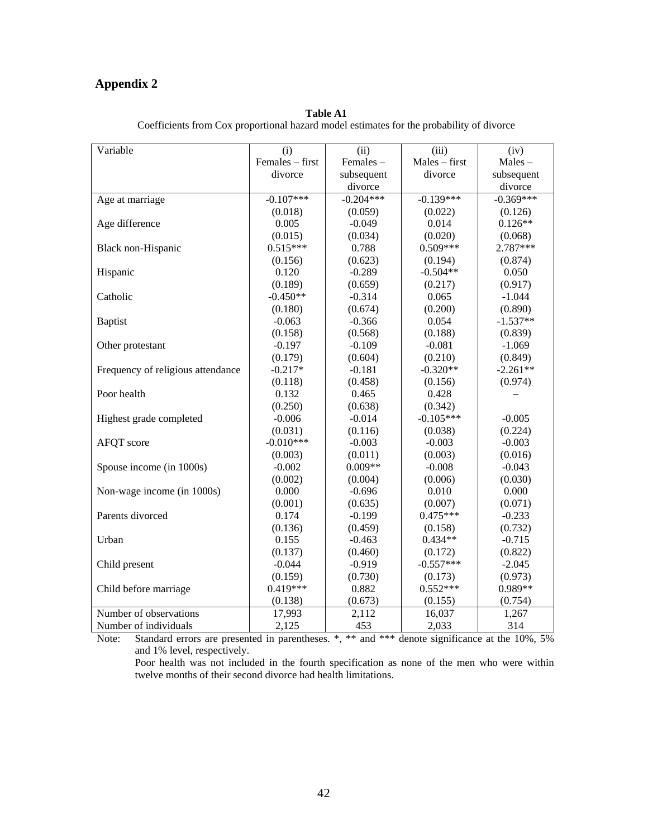#### **Appendix 2**

| Variable                          | (i)             | (ii)        | (iii)         | (iv)        |
|-----------------------------------|-----------------|-------------|---------------|-------------|
|                                   | Females - first | Females-    | Males - first | Males-      |
|                                   | divorce         | subsequent  | divorce       | subsequent  |
|                                   |                 | divorce     |               | divorce     |
| Age at marriage                   | $-0.107***$     | $-0.204***$ | $-0.139***$   | $-0.369***$ |
|                                   | (0.018)         | (0.059)     | (0.022)       | (0.126)     |
| Age difference                    | 0.005           | $-0.049$    | 0.014         | $0.126**$   |
|                                   | (0.015)         | (0.034)     | (0.020)       | (0.068)     |
| Black non-Hispanic                | $0.515***$      | 0.788       | $0.509***$    | 2.787***    |
|                                   | (0.156)         | (0.623)     | (0.194)       | (0.874)     |
| Hispanic                          | 0.120           | $-0.289$    | $-0.504**$    | 0.050       |
|                                   | (0.189)         | (0.659)     | (0.217)       | (0.917)     |
| Catholic                          | $-0.450**$      | $-0.314$    | 0.065         | $-1.044$    |
|                                   | (0.180)         | (0.674)     | (0.200)       | (0.890)     |
| <b>Baptist</b>                    | $-0.063$        | $-0.366$    | 0.054         | $-1.537**$  |
|                                   | (0.158)         | (0.568)     | (0.188)       | (0.839)     |
| Other protestant                  | $-0.197$        | $-0.109$    | $-0.081$      | $-1.069$    |
|                                   | (0.179)         | (0.604)     | (0.210)       | (0.849)     |
| Frequency of religious attendance | $-0.217*$       | $-0.181$    | $-0.320**$    | $-2.261**$  |
|                                   | (0.118)         | (0.458)     | (0.156)       | (0.974)     |
| Poor health                       | 0.132           | 0.465       | 0.428         |             |
|                                   | (0.250)         | (0.638)     | (0.342)       |             |
| Highest grade completed           | $-0.006$        | $-0.014$    | $-0.105***$   | $-0.005$    |
|                                   | (0.031)         | (0.116)     | (0.038)       | (0.224)     |
| AFQT score                        | $-0.010***$     | $-0.003$    | $-0.003$      | $-0.003$    |
|                                   | (0.003)         | (0.011)     | (0.003)       | (0.016)     |
| Spouse income (in 1000s)          | $-0.002$        | $0.009**$   | $-0.008$      | $-0.043$    |
|                                   | (0.002)         | (0.004)     | (0.006)       | (0.030)     |
| Non-wage income (in 1000s)        | 0.000           | $-0.696$    | 0.010         | 0.000       |
|                                   | (0.001)         | (0.635)     | (0.007)       | (0.071)     |
| Parents divorced                  | 0.174           | $-0.199$    | $0.475***$    | $-0.233$    |
|                                   | (0.136)         | (0.459)     | (0.158)       | (0.732)     |
| Urban                             | 0.155           | $-0.463$    | $0.434**$     | $-0.715$    |
|                                   | (0.137)         | (0.460)     | (0.172)       | (0.822)     |
| Child present                     | $-0.044$        | $-0.919$    | $-0.557***$   | $-2.045$    |
|                                   | (0.159)         | (0.730)     | (0.173)       | (0.973)     |
| Child before marriage             | $0.419***$      | 0.882       | $0.552***$    | 0.989**     |
|                                   | (0.138)         | (0.673)     | (0.155)       | (0.754)     |
| Number of observations            | 17,993          | 2,112       | 16,037        | 1,267       |
| Number of individuals             | 2,125           | 453         | 2,033         | 314         |

**Table A1** Coefficients from Cox proportional hazard model estimates for the probability of divorce

Note: Standard errors are presented in parentheses.  $*, **$  and  $***$  denote significance at the 10%, 5% and 1% level, respectively.

Poor health was not included in the fourth specification as none of the men who were within twelve months of their second divorce had health limitations.